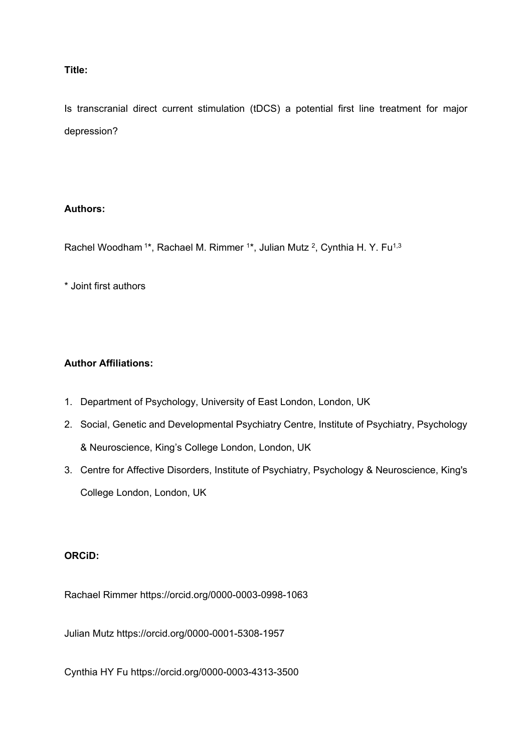# **Title:**

Is transcranial direct current stimulation (tDCS) a potential first line treatment for major depression?

# **Authors:**

Rachel Woodham<sup>1\*</sup>, Rachael M. Rimmer <sup>1\*</sup>, Julian Mutz <sup>2</sup>, Cynthia H. Y. Fu<sup>1,3</sup>

\* Joint first authors

# **Author Affiliations:**

- 1. Department of Psychology, University of East London, London, UK
- 2. Social, Genetic and Developmental Psychiatry Centre, Institute of Psychiatry, Psychology & Neuroscience, King's College London, London, UK
- 3. Centre for Affective Disorders, Institute of Psychiatry, Psychology & Neuroscience, King's College London, London, UK

# **ORCiD:**

Rachael Rimmer https://orcid.org/0000-0003-0998-1063

Julian Mutz https://orcid.org/0000-0001-5308-1957

Cynthia HY Fu https://orcid.org/0000-0003-4313-3500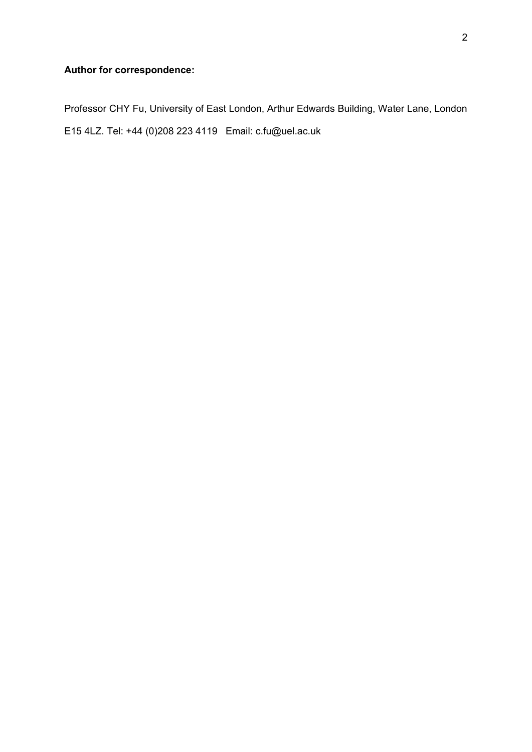# **Author for correspondence:**

Professor CHY Fu, University of East London, Arthur Edwards Building, Water Lane, London E15 4LZ. Tel: +44 (0)208 223 4119 Email: c.fu@uel.ac.uk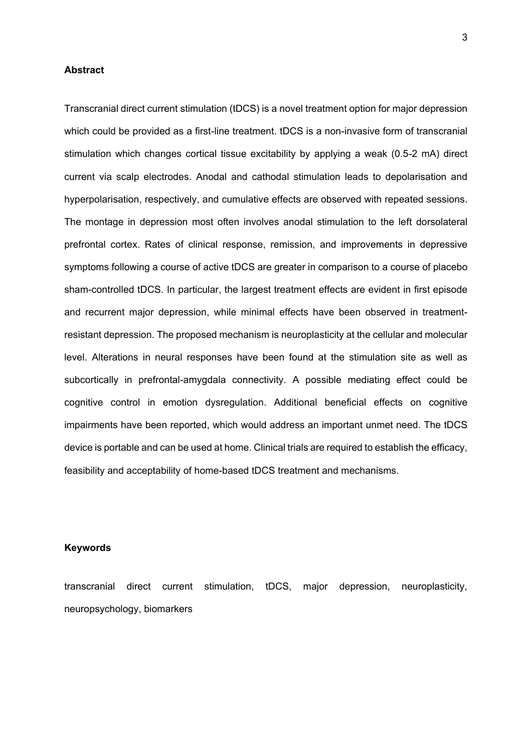#### **Abstract**

Transcranial direct current stimulation (tDCS) is a novel treatment option for major depression which could be provided as a first-line treatment. tDCS is a non-invasive form of transcranial stimulation which changes cortical tissue excitability by applying a weak (0.5-2 mA) direct current via scalp electrodes. Anodal and cathodal stimulation leads to depolarisation and hyperpolarisation, respectively, and cumulative effects are observed with repeated sessions. The montage in depression most often involves anodal stimulation to the left dorsolateral prefrontal cortex. Rates of clinical response, remission, and improvements in depressive symptoms following a course of active tDCS are greater in comparison to a course of placebo sham-controlled tDCS. In particular, the largest treatment effects are evident in first episode and recurrent major depression, while minimal effects have been observed in treatmentresistant depression. The proposed mechanism is neuroplasticity at the cellular and molecular level. Alterations in neural responses have been found at the stimulation site as well as subcortically in prefrontal-amygdala connectivity. A possible mediating effect could be cognitive control in emotion dysregulation. Additional beneficial effects on cognitive impairments have been reported, which would address an important unmet need. The tDCS device is portable and can be used at home. Clinical trials are required to establish the efficacy, feasibility and acceptability of home-based tDCS treatment and mechanisms.

## **Keywords**

transcranial direct current stimulation, tDCS, major depression, neuroplasticity, neuropsychology, biomarkers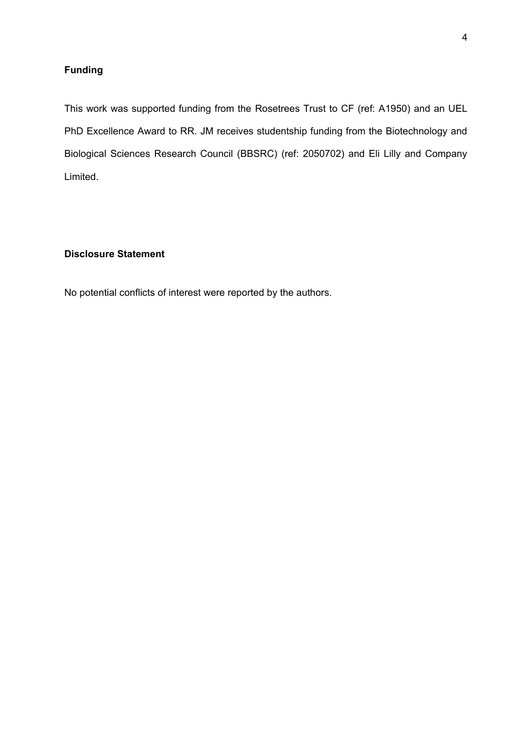# **Funding**

This work was supported funding from the Rosetrees Trust to CF (ref: A1950) and an UEL PhD Excellence Award to RR. JM receives studentship funding from the Biotechnology and Biological Sciences Research Council (BBSRC) (ref: 2050702) and Eli Lilly and Company Limited.

# **Disclosure Statement**

No potential conflicts of interest were reported by the authors.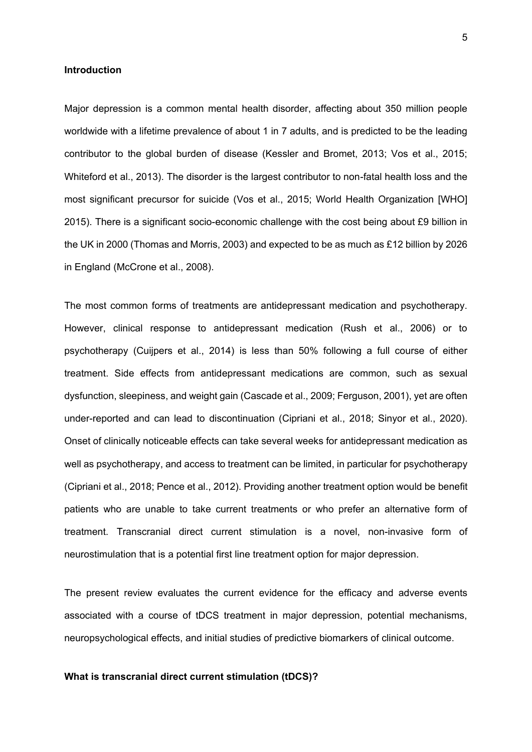#### **Introduction**

Major depression is a common mental health disorder, affecting about 350 million people worldwide with a lifetime prevalence of about 1 in 7 adults, and is predicted to be the leading contributor to the global burden of disease (Kessler and Bromet, 2013; Vos et al., 2015; Whiteford et al., 2013). The disorder is the largest contributor to non-fatal health loss and the most significant precursor for suicide (Vos et al., 2015; World Health Organization [WHO] 2015). There is a significant socio-economic challenge with the cost being about £9 billion in the UK in 2000 (Thomas and Morris, 2003) and expected to be as much as £12 billion by 2026 in England (McCrone et al., 2008).

The most common forms of treatments are antidepressant medication and psychotherapy. However, clinical response to antidepressant medication (Rush et al., 2006) or to psychotherapy (Cuijpers et al., 2014) is less than 50% following a full course of either treatment. Side effects from antidepressant medications are common, such as sexual dysfunction, sleepiness, and weight gain (Cascade et al., 2009; Ferguson, 2001), yet are often under-reported and can lead to discontinuation (Cipriani et al., 2018; Sinyor et al., 2020). Onset of clinically noticeable effects can take several weeks for antidepressant medication as well as psychotherapy, and access to treatment can be limited, in particular for psychotherapy (Cipriani et al., 2018; Pence et al., 2012). Providing another treatment option would be benefit patients who are unable to take current treatments or who prefer an alternative form of treatment. Transcranial direct current stimulation is a novel, non-invasive form of neurostimulation that is a potential first line treatment option for major depression.

The present review evaluates the current evidence for the efficacy and adverse events associated with a course of tDCS treatment in major depression, potential mechanisms, neuropsychological effects, and initial studies of predictive biomarkers of clinical outcome.

#### **What is transcranial direct current stimulation (tDCS)?**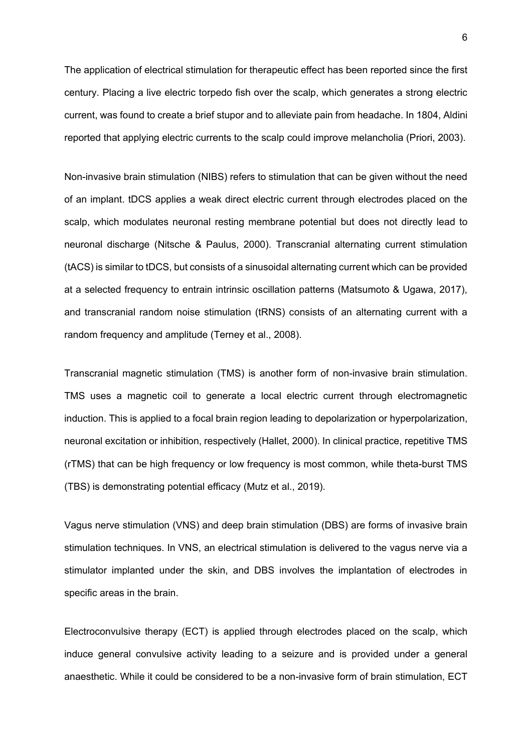The application of electrical stimulation for therapeutic effect has been reported since the first century. Placing a live electric torpedo fish over the scalp, which generates a strong electric current, was found to create a brief stupor and to alleviate pain from headache. In 1804, Aldini reported that applying electric currents to the scalp could improve melancholia (Priori, 2003).

Non-invasive brain stimulation (NIBS) refers to stimulation that can be given without the need of an implant. tDCS applies a weak direct electric current through electrodes placed on the scalp, which modulates neuronal resting membrane potential but does not directly lead to neuronal discharge (Nitsche & Paulus, 2000). Transcranial alternating current stimulation (tACS) is similar to tDCS, but consists of a sinusoidal alternating current which can be provided at a selected frequency to entrain intrinsic oscillation patterns (Matsumoto & Ugawa, 2017), and transcranial random noise stimulation (tRNS) consists of an alternating current with a random frequency and amplitude (Terney et al., 2008).

Transcranial magnetic stimulation (TMS) is another form of non-invasive brain stimulation. TMS uses a magnetic coil to generate a local electric current through electromagnetic induction. This is applied to a focal brain region leading to depolarization or hyperpolarization, neuronal excitation or inhibition, respectively (Hallet, 2000). In clinical practice, repetitive TMS (rTMS) that can be high frequency or low frequency is most common, while theta-burst TMS (TBS) is demonstrating potential efficacy (Mutz et al., 2019).

Vagus nerve stimulation (VNS) and deep brain stimulation (DBS) are forms of invasive brain stimulation techniques. In VNS, an electrical stimulation is delivered to the vagus nerve via a stimulator implanted under the skin, and DBS involves the implantation of electrodes in specific areas in the brain.

Electroconvulsive therapy (ECT) is applied through electrodes placed on the scalp, which induce general convulsive activity leading to a seizure and is provided under a general anaesthetic. While it could be considered to be a non-invasive form of brain stimulation, ECT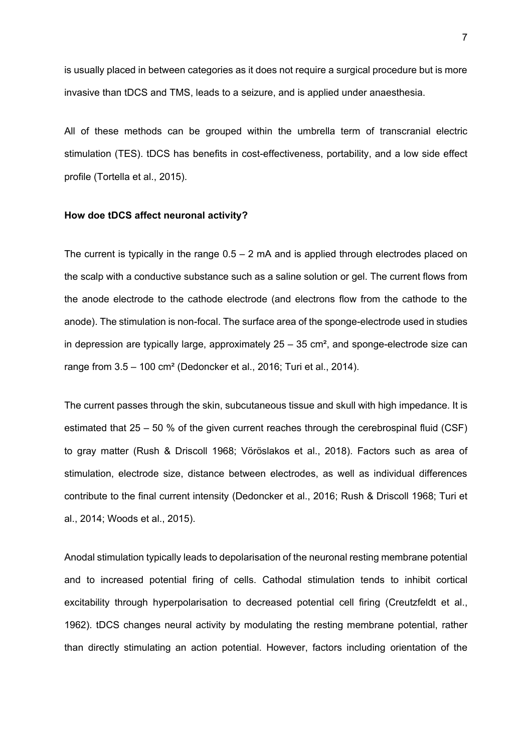is usually placed in between categories as it does not require a surgical procedure but is more invasive than tDCS and TMS, leads to a seizure, and is applied under anaesthesia.

All of these methods can be grouped within the umbrella term of transcranial electric stimulation (TES). tDCS has benefits in cost-effectiveness, portability, and a low side effect profile (Tortella et al., 2015).

#### **How doe tDCS affect neuronal activity?**

The current is typically in the range  $0.5 - 2$  mA and is applied through electrodes placed on the scalp with a conductive substance such as a saline solution or gel. The current flows from the anode electrode to the cathode electrode (and electrons flow from the cathode to the anode). The stimulation is non-focal. The surface area of the sponge-electrode used in studies in depression are typically large, approximately  $25 - 35$  cm<sup>2</sup>, and sponge-electrode size can range from 3.5 – 100 cm² (Dedoncker et al., 2016; Turi et al., 2014).

The current passes through the skin, subcutaneous tissue and skull with high impedance. It is estimated that 25 – 50 % of the given current reaches through the cerebrospinal fluid (CSF) to gray matter (Rush & Driscoll 1968; Vöröslakos et al., 2018). Factors such as area of stimulation, electrode size, distance between electrodes, as well as individual differences contribute to the final current intensity (Dedoncker et al., 2016; Rush & Driscoll 1968; Turi et al., 2014; Woods et al., 2015).

Anodal stimulation typically leads to depolarisation of the neuronal resting membrane potential and to increased potential firing of cells. Cathodal stimulation tends to inhibit cortical excitability through hyperpolarisation to decreased potential cell firing (Creutzfeldt et al., 1962). tDCS changes neural activity by modulating the resting membrane potential, rather than directly stimulating an action potential. However, factors including orientation of the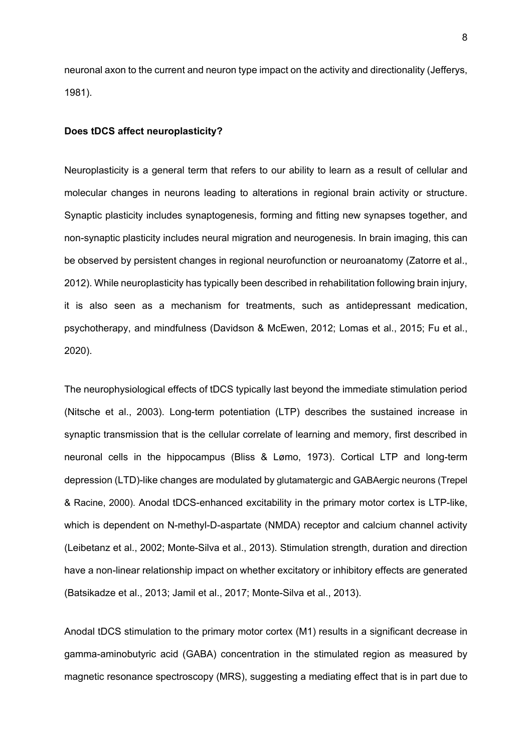neuronal axon to the current and neuron type impact on the activity and directionality (Jefferys, 1981).

#### **Does tDCS affect neuroplasticity?**

Neuroplasticity is a general term that refers to our ability to learn as a result of cellular and molecular changes in neurons leading to alterations in regional brain activity or structure. Synaptic plasticity includes synaptogenesis, forming and fitting new synapses together, and non-synaptic plasticity includes neural migration and neurogenesis. In brain imaging, this can be observed by persistent changes in regional neurofunction or neuroanatomy (Zatorre et al., 2012). While neuroplasticity has typically been described in rehabilitation following brain injury, it is also seen as a mechanism for treatments, such as antidepressant medication, psychotherapy, and mindfulness (Davidson & McEwen, 2012; Lomas et al., 2015; Fu et al., 2020).

The neurophysiological effects of tDCS typically last beyond the immediate stimulation period (Nitsche et al., 2003). Long-term potentiation (LTP) describes the sustained increase in synaptic transmission that is the cellular correlate of learning and memory, first described in neuronal cells in the hippocampus (Bliss & Lømo, 1973). Cortical LTP and long-term depression (LTD)-like changes are modulated by glutamatergic and GABAergic neurons (Trepel & Racine, 2000). Anodal tDCS-enhanced excitability in the primary motor cortex is LTP-like, which is dependent on N-methyl-D-aspartate (NMDA) receptor and calcium channel activity (Leibetanz et al., 2002; Monte-Silva et al., 2013). Stimulation strength, duration and direction have a non-linear relationship impact on whether excitatory or inhibitory effects are generated (Batsikadze et al., 2013; Jamil et al., 2017; Monte-Silva et al., 2013).

Anodal tDCS stimulation to the primary motor cortex (M1) results in a significant decrease in gamma-aminobutyric acid (GABA) concentration in the stimulated region as measured by magnetic resonance spectroscopy (MRS), suggesting a mediating effect that is in part due to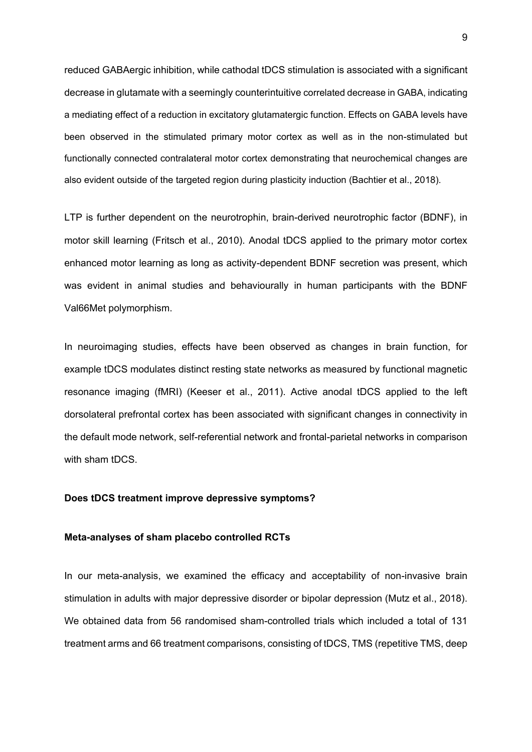reduced GABAergic inhibition, while cathodal tDCS stimulation is associated with a significant decrease in glutamate with a seemingly counterintuitive correlated decrease in GABA, indicating a mediating effect of a reduction in excitatory glutamatergic function. Effects on GABA levels have been observed in the stimulated primary motor cortex as well as in the non-stimulated but functionally connected contralateral motor cortex demonstrating that neurochemical changes are also evident outside of the targeted region during plasticity induction (Bachtier et al., 2018).

LTP is further dependent on the neurotrophin, brain-derived neurotrophic factor (BDNF), in motor skill learning (Fritsch et al., 2010). Anodal tDCS applied to the primary motor cortex enhanced motor learning as long as activity-dependent BDNF secretion was present, which was evident in animal studies and behaviourally in human participants with the BDNF Val66Met polymorphism.

In neuroimaging studies, effects have been observed as changes in brain function, for example tDCS modulates distinct resting state networks as measured by functional magnetic resonance imaging (fMRI) (Keeser et al., 2011). Active anodal tDCS applied to the left dorsolateral prefrontal cortex has been associated with significant changes in connectivity in the default mode network, self-referential network and frontal-parietal networks in comparison with sham tDCS.

## **Does tDCS treatment improve depressive symptoms?**

## **Meta-analyses of sham placebo controlled RCTs**

In our meta-analysis, we examined the efficacy and acceptability of non-invasive brain stimulation in adults with major depressive disorder or bipolar depression (Mutz et al., 2018). We obtained data from 56 randomised sham-controlled trials which included a total of 131 treatment arms and 66 treatment comparisons, consisting of tDCS, TMS (repetitive TMS, deep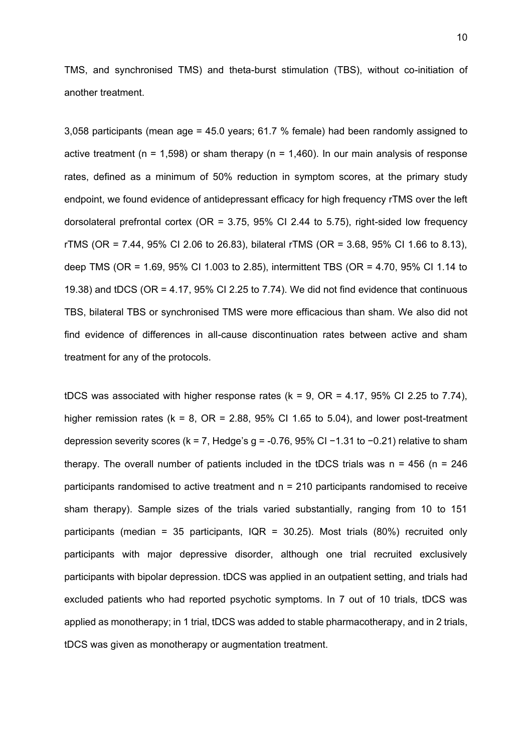TMS, and synchronised TMS) and theta-burst stimulation (TBS), without co-initiation of another treatment.

3,058 participants (mean age = 45.0 years; 61.7 % female) had been randomly assigned to active treatment (n = 1,598) or sham therapy (n = 1,460). In our main analysis of response rates, defined as a minimum of 50% reduction in symptom scores, at the primary study endpoint, we found evidence of antidepressant efficacy for high frequency rTMS over the left dorsolateral prefrontal cortex (OR =  $3.75$ ,  $95\%$  CI 2.44 to 5.75), right-sided low frequency rTMS (OR = 7.44, 95% CI 2.06 to 26.83), bilateral rTMS (OR = 3.68, 95% CI 1.66 to 8.13), deep TMS (OR = 1.69, 95% CI 1.003 to 2.85), intermittent TBS (OR = 4.70, 95% CI 1.14 to 19.38) and tDCS (OR = 4.17, 95% CI 2.25 to 7.74). We did not find evidence that continuous TBS, bilateral TBS or synchronised TMS were more efficacious than sham. We also did not find evidence of differences in all-cause discontinuation rates between active and sham treatment for any of the protocols.

tDCS was associated with higher response rates  $(k = 9, \text{ OR } = 4.17, 95\% \text{ CI } 2.25 \text{ to } 7.74$ ), higher remission rates ( $k = 8$ ,  $OR = 2.88$ , 95% CI 1.65 to 5.04), and lower post-treatment depression severity scores (k = 7, Hedge's g = -0.76, 95% CI −1.31 to −0.21) relative to sham therapy. The overall number of patients included in the tDCS trials was  $n = 456$  (n = 246 participants randomised to active treatment and  $n = 210$  participants randomised to receive sham therapy). Sample sizes of the trials varied substantially, ranging from 10 to 151 participants (median = 35 participants, IQR = 30.25). Most trials (80%) recruited only participants with major depressive disorder, although one trial recruited exclusively participants with bipolar depression. tDCS was applied in an outpatient setting, and trials had excluded patients who had reported psychotic symptoms. In 7 out of 10 trials, tDCS was applied as monotherapy; in 1 trial, tDCS was added to stable pharmacotherapy, and in 2 trials, tDCS was given as monotherapy or augmentation treatment.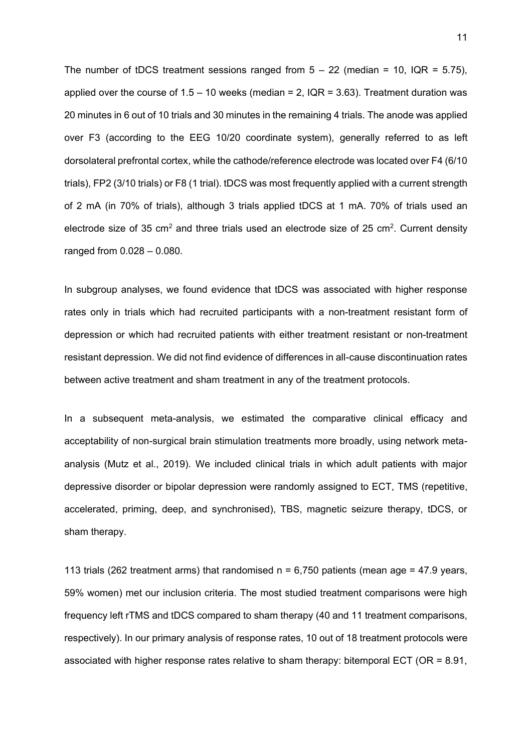The number of tDCS treatment sessions ranged from  $5 - 22$  (median = 10, IQR = 5.75), applied over the course of  $1.5 - 10$  weeks (median = 2, IQR = 3.63). Treatment duration was 20 minutes in 6 out of 10 trials and 30 minutes in the remaining 4 trials. The anode was applied over F3 (according to the EEG 10/20 coordinate system), generally referred to as left dorsolateral prefrontal cortex, while the cathode/reference electrode was located over F4 (6/10 trials), FP2 (3/10 trials) or F8 (1 trial). tDCS was most frequently applied with a current strength of 2 mA (in 70% of trials), although 3 trials applied tDCS at 1 mA. 70% of trials used an electrode size of 35 cm<sup>2</sup> and three trials used an electrode size of 25 cm<sup>2</sup>. Current density ranged from 0.028 – 0.080.

In subgroup analyses, we found evidence that tDCS was associated with higher response rates only in trials which had recruited participants with a non-treatment resistant form of depression or which had recruited patients with either treatment resistant or non-treatment resistant depression. We did not find evidence of differences in all-cause discontinuation rates between active treatment and sham treatment in any of the treatment protocols.

In a subsequent meta-analysis, we estimated the comparative clinical efficacy and acceptability of non-surgical brain stimulation treatments more broadly, using network metaanalysis (Mutz et al., 2019). We included clinical trials in which adult patients with major depressive disorder or bipolar depression were randomly assigned to ECT, TMS (repetitive, accelerated, priming, deep, and synchronised), TBS, magnetic seizure therapy, tDCS, or sham therapy.

113 trials (262 treatment arms) that randomised  $n = 6,750$  patients (mean age = 47.9 years, 59% women) met our inclusion criteria. The most studied treatment comparisons were high frequency left rTMS and tDCS compared to sham therapy (40 and 11 treatment comparisons, respectively). In our primary analysis of response rates, 10 out of 18 treatment protocols were associated with higher response rates relative to sham therapy: bitemporal ECT (OR = 8.91,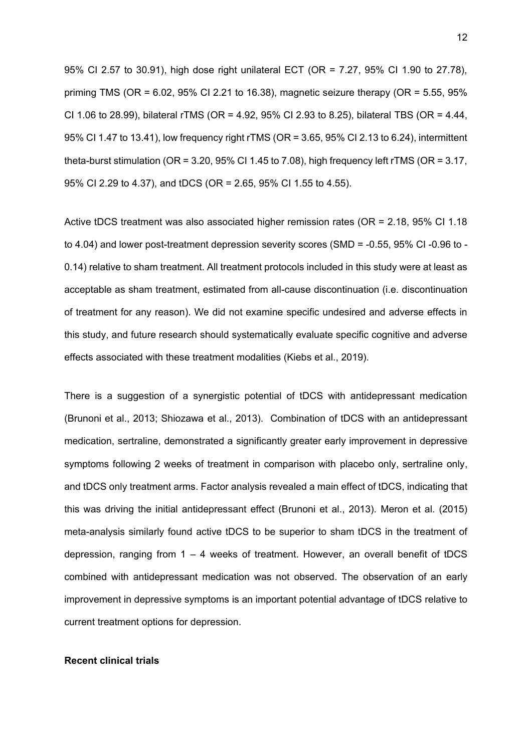95% CI 2.57 to 30.91), high dose right unilateral ECT (OR = 7.27, 95% CI 1.90 to 27.78), priming TMS (OR =  $6.02$ ,  $95\%$  CI 2.21 to 16.38), magnetic seizure therapy (OR =  $5.55$ ,  $95\%$ CI 1.06 to 28.99), bilateral rTMS (OR = 4.92, 95% CI 2.93 to 8.25), bilateral TBS (OR = 4.44, 95% CI 1.47 to 13.41), low frequency right rTMS (OR = 3.65, 95% CI 2.13 to 6.24), intermittent theta-burst stimulation (OR = 3.20, 95% CI 1.45 to 7.08), high frequency left rTMS (OR = 3.17, 95% CI 2.29 to 4.37), and tDCS (OR = 2.65, 95% CI 1.55 to 4.55).

Active tDCS treatment was also associated higher remission rates (OR = 2.18, 95% CI 1.18 to 4.04) and lower post-treatment depression severity scores (SMD = -0.55, 95% CI -0.96 to - 0.14) relative to sham treatment. All treatment protocols included in this study were at least as acceptable as sham treatment, estimated from all-cause discontinuation (i.e. discontinuation of treatment for any reason). We did not examine specific undesired and adverse effects in this study, and future research should systematically evaluate specific cognitive and adverse effects associated with these treatment modalities (Kiebs et al., 2019).

There is a suggestion of a synergistic potential of tDCS with antidepressant medication (Brunoni et al., 2013; Shiozawa et al., 2013). Combination of tDCS with an antidepressant medication, sertraline, demonstrated a significantly greater early improvement in depressive symptoms following 2 weeks of treatment in comparison with placebo only, sertraline only, and tDCS only treatment arms. Factor analysis revealed a main effect of tDCS, indicating that this was driving the initial antidepressant effect (Brunoni et al., 2013). Meron et al. (2015) meta-analysis similarly found active tDCS to be superior to sham tDCS in the treatment of depression, ranging from 1 – 4 weeks of treatment. However, an overall benefit of tDCS combined with antidepressant medication was not observed. The observation of an early improvement in depressive symptoms is an important potential advantage of tDCS relative to current treatment options for depression.

## **Recent clinical trials**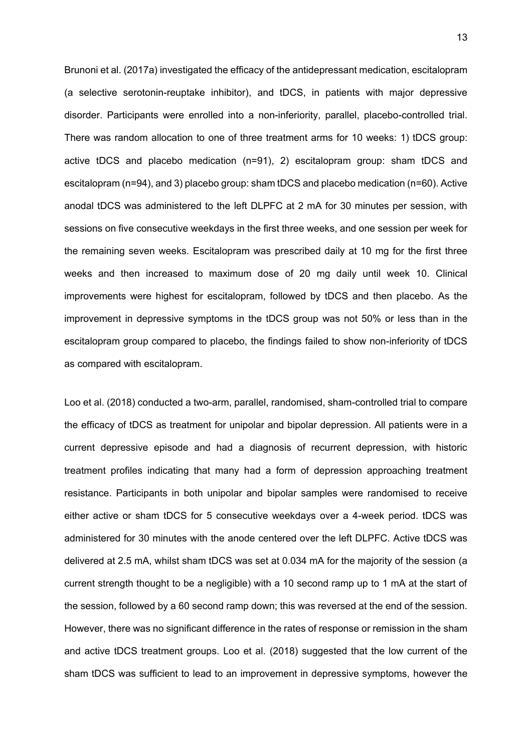Brunoni et al. (2017a) investigated the efficacy of the antidepressant medication, escitalopram (a selective serotonin-reuptake inhibitor), and tDCS, in patients with major depressive disorder. Participants were enrolled into a non-inferiority, parallel, placebo-controlled trial. There was random allocation to one of three treatment arms for 10 weeks: 1) tDCS group: active tDCS and placebo medication (n=91), 2) escitalopram group: sham tDCS and escitalopram (n=94), and 3) placebo group: sham tDCS and placebo medication (n=60). Active anodal tDCS was administered to the left DLPFC at 2 mA for 30 minutes per session, with sessions on five consecutive weekdays in the first three weeks, and one session per week for the remaining seven weeks. Escitalopram was prescribed daily at 10 mg for the first three weeks and then increased to maximum dose of 20 mg daily until week 10. Clinical improvements were highest for escitalopram, followed by tDCS and then placebo. As the improvement in depressive symptoms in the tDCS group was not 50% or less than in the escitalopram group compared to placebo, the findings failed to show non-inferiority of tDCS as compared with escitalopram.

Loo et al. (2018) conducted a two-arm, parallel, randomised, sham-controlled trial to compare the efficacy of tDCS as treatment for unipolar and bipolar depression. All patients were in a current depressive episode and had a diagnosis of recurrent depression, with historic treatment profiles indicating that many had a form of depression approaching treatment resistance. Participants in both unipolar and bipolar samples were randomised to receive either active or sham tDCS for 5 consecutive weekdays over a 4-week period. tDCS was administered for 30 minutes with the anode centered over the left DLPFC. Active tDCS was delivered at 2.5 mA, whilst sham tDCS was set at 0.034 mA for the majority of the session (a current strength thought to be a negligible) with a 10 second ramp up to 1 mA at the start of the session, followed by a 60 second ramp down; this was reversed at the end of the session. However, there was no significant difference in the rates of response or remission in the sham and active tDCS treatment groups. Loo et al. (2018) suggested that the low current of the sham tDCS was sufficient to lead to an improvement in depressive symptoms, however the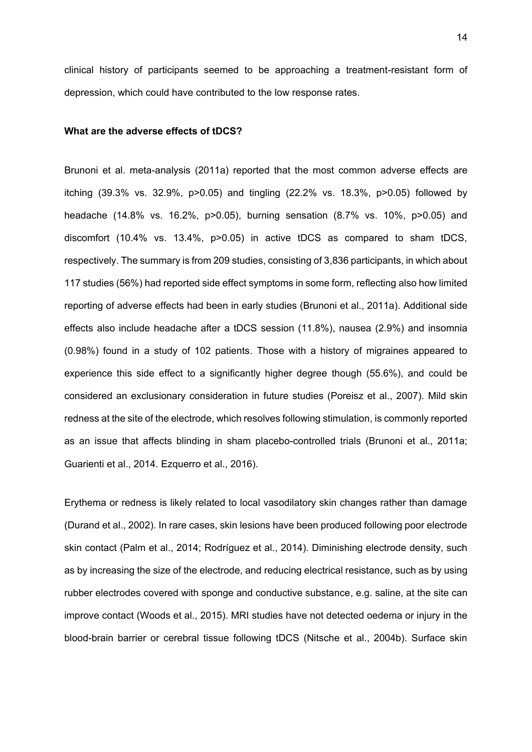clinical history of participants seemed to be approaching a treatment-resistant form of depression, which could have contributed to the low response rates.

#### **What are the adverse effects of tDCS?**

Brunoni et al. meta-analysis (2011a) reported that the most common adverse effects are itching (39.3% vs. 32.9%, p>0.05) and tingling (22.2% vs. 18.3%, p>0.05) followed by headache (14.8% vs. 16.2%, p>0.05), burning sensation (8.7% vs. 10%, p>0.05) and discomfort (10.4% vs. 13.4%, p>0.05) in active tDCS as compared to sham tDCS, respectively. The summary is from 209 studies, consisting of 3,836 participants, in which about 117 studies (56%) had reported side effect symptoms in some form, reflecting also how limited reporting of adverse effects had been in early studies (Brunoni et al., 2011a). Additional side effects also include headache after a tDCS session (11.8%), nausea (2.9%) and insomnia (0.98%) found in a study of 102 patients. Those with a history of migraines appeared to experience this side effect to a significantly higher degree though (55.6%), and could be considered an exclusionary consideration in future studies (Poreisz et al., 2007). Mild skin redness at the site of the electrode, which resolves following stimulation, is commonly reported as an issue that affects blinding in sham placebo-controlled trials (Brunoni et al., 2011a; Guarienti et al., 2014. Ezquerro et al., 2016).

Erythema or redness is likely related to local vasodilatory skin changes rather than damage (Durand et al., 2002). In rare cases, skin lesions have been produced following poor electrode skin contact (Palm et al., 2014; Rodríguez et al., 2014). Diminishing electrode density, such as by increasing the size of the electrode, and reducing electrical resistance, such as by using rubber electrodes covered with sponge and conductive substance, e.g. saline, at the site can improve contact (Woods et al., 2015). MRI studies have not detected oedema or injury in the blood-brain barrier or cerebral tissue following tDCS (Nitsche et al., 2004b). Surface skin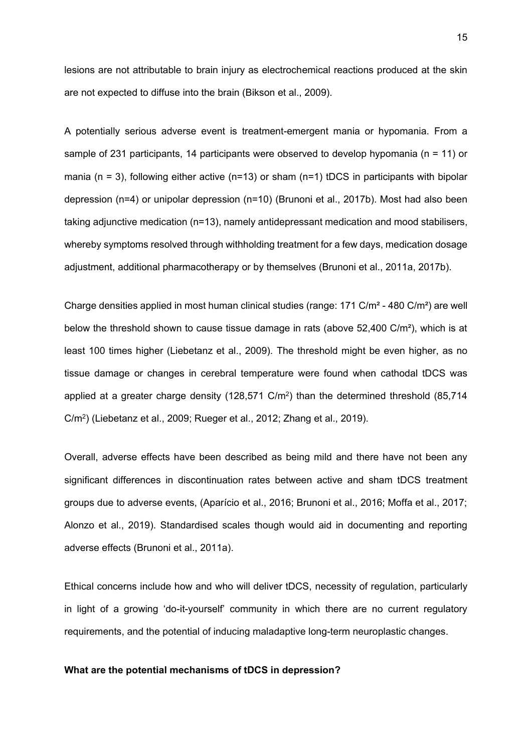lesions are not attributable to brain injury as electrochemical reactions produced at the skin are not expected to diffuse into the brain (Bikson et al., 2009).

A potentially serious adverse event is treatment-emergent mania or hypomania. From a sample of 231 participants, 14 participants were observed to develop hypomania ( $n = 11$ ) or mania (n = 3), following either active (n=13) or sham (n=1) tDCS in participants with bipolar depression (n=4) or unipolar depression (n=10) (Brunoni et al., 2017b). Most had also been taking adjunctive medication (n=13), namely antidepressant medication and mood stabilisers, whereby symptoms resolved through withholding treatment for a few days, medication dosage adjustment, additional pharmacotherapy or by themselves (Brunoni et al., 2011a, 2017b).

Charge densities applied in most human clinical studies (range: 171 C/m² - 480 C/m²) are well below the threshold shown to cause tissue damage in rats (above 52,400 C/m²), which is at least 100 times higher (Liebetanz et al., 2009). The threshold might be even higher, as no tissue damage or changes in cerebral temperature were found when cathodal tDCS was applied at a greater charge density (128,571 C/m<sup>2</sup> ) than the determined threshold (85,714 C/m<sup>2</sup> ) (Liebetanz et al., 2009; Rueger et al., 2012; Zhang et al., 2019).

Overall, adverse effects have been described as being mild and there have not been any significant differences in discontinuation rates between active and sham tDCS treatment groups due to adverse events, (Aparício et al., 2016; Brunoni et al., 2016; Moffa et al., 2017; Alonzo et al., 2019). Standardised scales though would aid in documenting and reporting adverse effects (Brunoni et al., 2011a).

Ethical concerns include how and who will deliver tDCS, necessity of regulation, particularly in light of a growing 'do-it-yourself' community in which there are no current regulatory requirements, and the potential of inducing maladaptive long-term neuroplastic changes.

## **What are the potential mechanisms of tDCS in depression?**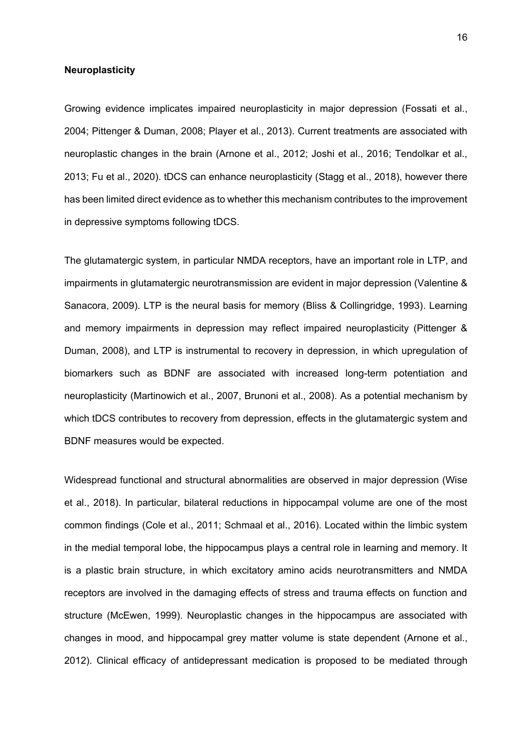# **Neuroplasticity**

Growing evidence implicates impaired neuroplasticity in major depression (Fossati et al., 2004; Pittenger & Duman, 2008; Player et al., 2013). Current treatments are associated with neuroplastic changes in the brain (Arnone et al., 2012; Joshi et al., 2016; Tendolkar et al., 2013; Fu et al., 2020). tDCS can enhance neuroplasticity (Stagg et al., 2018), however there has been limited direct evidence as to whether this mechanism contributes to the improvement in depressive symptoms following tDCS.

The glutamatergic system, in particular NMDA receptors, have an important role in LTP, and impairments in glutamatergic neurotransmission are evident in major depression (Valentine & Sanacora, 2009). LTP is the neural basis for memory (Bliss & Collingridge, 1993). Learning and memory impairments in depression may reflect impaired neuroplasticity (Pittenger & Duman, 2008), and LTP is instrumental to recovery in depression, in which upregulation of biomarkers such as BDNF are associated with increased long-term potentiation and neuroplasticity (Martinowich et al., 2007, Brunoni et al., 2008). As a potential mechanism by which tDCS contributes to recovery from depression, effects in the glutamatergic system and BDNF measures would be expected.

Widespread functional and structural abnormalities are observed in major depression (Wise et al., 2018). In particular, bilateral reductions in hippocampal volume are one of the most common findings (Cole et al., 2011; Schmaal et al., 2016). Located within the limbic system in the medial temporal lobe, the hippocampus plays a central role in learning and memory. It is a plastic brain structure, in which excitatory amino acids neurotransmitters and NMDA receptors are involved in the damaging effects of stress and trauma effects on function and structure (McEwen, 1999). Neuroplastic changes in the hippocampus are associated with changes in mood, and hippocampal grey matter volume is state dependent (Arnone et al., 2012). Clinical efficacy of antidepressant medication is proposed to be mediated through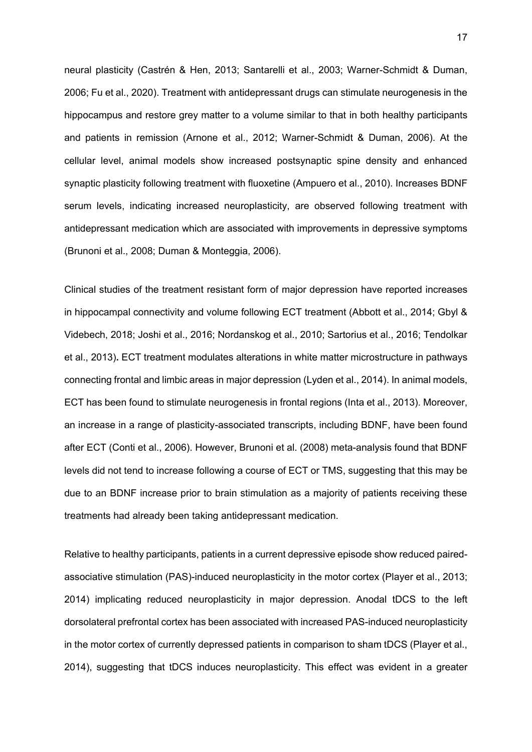neural plasticity (Castrén & Hen, 2013; Santarelli et al., 2003; Warner-Schmidt & Duman, 2006; Fu et al., 2020). Treatment with antidepressant drugs can stimulate neurogenesis in the hippocampus and restore grey matter to a volume similar to that in both healthy participants and patients in remission (Arnone et al., 2012; Warner-Schmidt & Duman, 2006). At the cellular level, animal models show increased postsynaptic spine density and enhanced synaptic plasticity following treatment with fluoxetine (Ampuero et al., 2010). Increases BDNF serum levels, indicating increased neuroplasticity, are observed following treatment with antidepressant medication which are associated with improvements in depressive symptoms (Brunoni et al., 2008; Duman & Monteggia, 2006).

Clinical studies of the treatment resistant form of major depression have reported increases in hippocampal connectivity and volume following ECT treatment (Abbott et al., 2014; Gbyl & Videbech, 2018; Joshi et al., 2016; Nordanskog et al., 2010; Sartorius et al., 2016; Tendolkar et al., 2013)**.** ECT treatment modulates alterations in white matter microstructure in pathways connecting frontal and limbic areas in major depression (Lyden et al., 2014). In animal models, ECT has been found to stimulate neurogenesis in frontal regions (Inta et al., 2013). Moreover, an increase in a range of plasticity-associated transcripts, including BDNF, have been found after ECT (Conti et al., 2006). However, Brunoni et al. (2008) meta-analysis found that BDNF levels did not tend to increase following a course of ECT or TMS, suggesting that this may be due to an BDNF increase prior to brain stimulation as a majority of patients receiving these treatments had already been taking antidepressant medication.

Relative to healthy participants, patients in a current depressive episode show reduced pairedassociative stimulation (PAS)-induced neuroplasticity in the motor cortex (Player et al., 2013; 2014) implicating reduced neuroplasticity in major depression. Anodal tDCS to the left dorsolateral prefrontal cortex has been associated with increased PAS-induced neuroplasticity in the motor cortex of currently depressed patients in comparison to sham tDCS (Player et al., 2014), suggesting that tDCS induces neuroplasticity. This effect was evident in a greater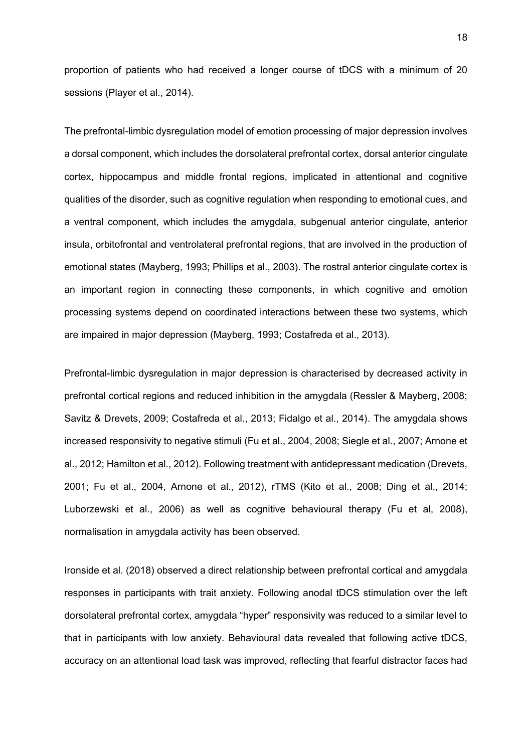proportion of patients who had received a longer course of tDCS with a minimum of 20 sessions (Player et al., 2014).

The prefrontal-limbic dysregulation model of emotion processing of major depression involves a dorsal component, which includes the dorsolateral prefrontal cortex, dorsal anterior cingulate cortex, hippocampus and middle frontal regions, implicated in attentional and cognitive qualities of the disorder, such as cognitive regulation when responding to emotional cues, and a ventral component, which includes the amygdala, subgenual anterior cingulate, anterior insula, orbitofrontal and ventrolateral prefrontal regions, that are involved in the production of emotional states (Mayberg, 1993; Phillips et al., 2003). The rostral anterior cingulate cortex is an important region in connecting these components, in which cognitive and emotion processing systems depend on coordinated interactions between these two systems, which are impaired in major depression (Mayberg, 1993; Costafreda et al., 2013).

Prefrontal-limbic dysregulation in major depression is characterised by decreased activity in prefrontal cortical regions and reduced inhibition in the amygdala (Ressler & Mayberg, 2008; Savitz & Drevets, 2009; Costafreda et al., 2013; Fidalgo et al., 2014). The amygdala shows increased responsivity to negative stimuli (Fu et al., 2004, 2008; Siegle et al., 2007; Arnone et al., 2012; Hamilton et al., 2012). Following treatment with antidepressant medication (Drevets, 2001; Fu et al., 2004, Arnone et al., 2012), rTMS (Kito et al., 2008; Ding et al., 2014; Luborzewski et al., 2006) as well as cognitive behavioural therapy (Fu et al, 2008), normalisation in amygdala activity has been observed.

Ironside et al. (2018) observed a direct relationship between prefrontal cortical and amygdala responses in participants with trait anxiety. Following anodal tDCS stimulation over the left dorsolateral prefrontal cortex, amygdala "hyper" responsivity was reduced to a similar level to that in participants with low anxiety. Behavioural data revealed that following active tDCS, accuracy on an attentional load task was improved, reflecting that fearful distractor faces had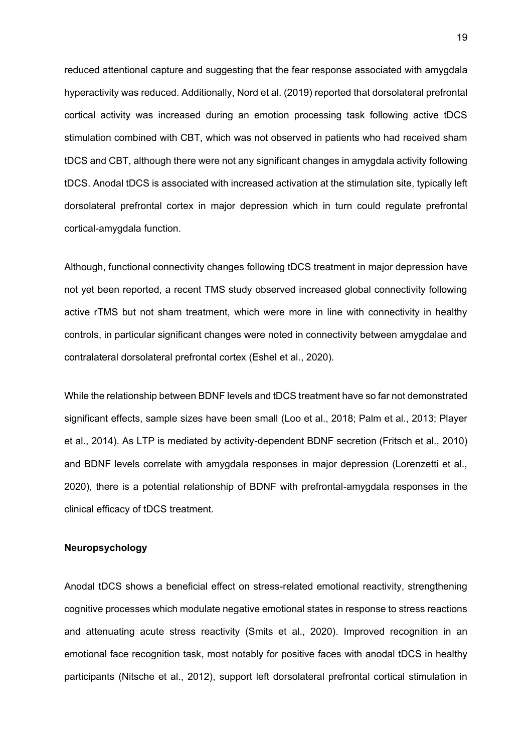reduced attentional capture and suggesting that the fear response associated with amygdala hyperactivity was reduced. Additionally, Nord et al. (2019) reported that dorsolateral prefrontal cortical activity was increased during an emotion processing task following active tDCS stimulation combined with CBT, which was not observed in patients who had received sham tDCS and CBT, although there were not any significant changes in amygdala activity following tDCS. Anodal tDCS is associated with increased activation at the stimulation site, typically left dorsolateral prefrontal cortex in major depression which in turn could regulate prefrontal cortical-amygdala function.

Although, functional connectivity changes following tDCS treatment in major depression have not yet been reported, a recent TMS study observed increased global connectivity following active rTMS but not sham treatment, which were more in line with connectivity in healthy controls, in particular significant changes were noted in connectivity between amygdalae and contralateral dorsolateral prefrontal cortex (Eshel et al., 2020).

While the relationship between BDNF levels and tDCS treatment have so far not demonstrated significant effects, sample sizes have been small (Loo et al., 2018; Palm et al., 2013; Player et al., 2014). As LTP is mediated by activity-dependent BDNF secretion (Fritsch et al., 2010) and BDNF levels correlate with amygdala responses in major depression (Lorenzetti et al., 2020), there is a potential relationship of BDNF with prefrontal-amygdala responses in the clinical efficacy of tDCS treatment.

## **Neuropsychology**

Anodal tDCS shows a beneficial effect on stress-related emotional reactivity, strengthening cognitive processes which modulate negative emotional states in response to stress reactions and attenuating acute stress reactivity (Smits et al., 2020). Improved recognition in an emotional face recognition task, most notably for positive faces with anodal tDCS in healthy participants (Nitsche et al., 2012), support left dorsolateral prefrontal cortical stimulation in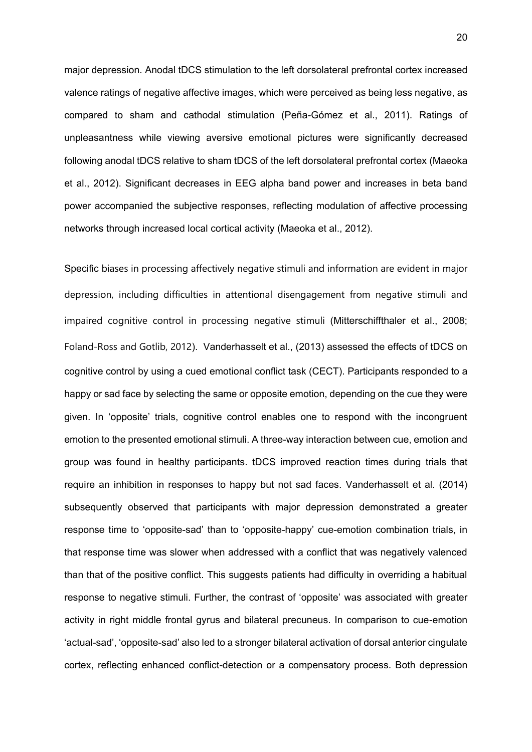major depression. Anodal tDCS stimulation to the left dorsolateral prefrontal cortex increased valence ratings of negative affective images, which were perceived as being less negative, as compared to sham and cathodal stimulation (Peña-Gómez et al., 2011). Ratings of unpleasantness while viewing aversive emotional pictures were significantly decreased following anodal tDCS relative to sham tDCS of the left dorsolateral prefrontal cortex (Maeoka et al., 2012). Significant decreases in EEG alpha band power and increases in beta band power accompanied the subjective responses, reflecting modulation of affective processing networks through increased local cortical activity (Maeoka et al., 2012).

Specific biases in processing affectively negative stimuli and information are evident in major depression, including difficulties in attentional disengagement from negative stimuli and impaired cognitive control in processing negative stimuli (Mitterschiffthaler et al., 2008; Foland-Ross and Gotlib, 2012). Vanderhasselt et al., (2013) assessed the effects of tDCS on cognitive control by using a cued emotional conflict task (CECT). Participants responded to a happy or sad face by selecting the same or opposite emotion, depending on the cue they were given. In 'opposite' trials, cognitive control enables one to respond with the incongruent emotion to the presented emotional stimuli. A three-way interaction between cue, emotion and group was found in healthy participants. tDCS improved reaction times during trials that require an inhibition in responses to happy but not sad faces. Vanderhasselt et al. (2014) subsequently observed that participants with major depression demonstrated a greater response time to 'opposite-sad' than to 'opposite-happy' cue-emotion combination trials, in that response time was slower when addressed with a conflict that was negatively valenced than that of the positive conflict. This suggests patients had difficulty in overriding a habitual response to negative stimuli. Further, the contrast of 'opposite' was associated with greater activity in right middle frontal gyrus and bilateral precuneus. In comparison to cue-emotion 'actual-sad', 'opposite-sad' also led to a stronger bilateral activation of dorsal anterior cingulate cortex, reflecting enhanced conflict-detection or a compensatory process. Both depression

20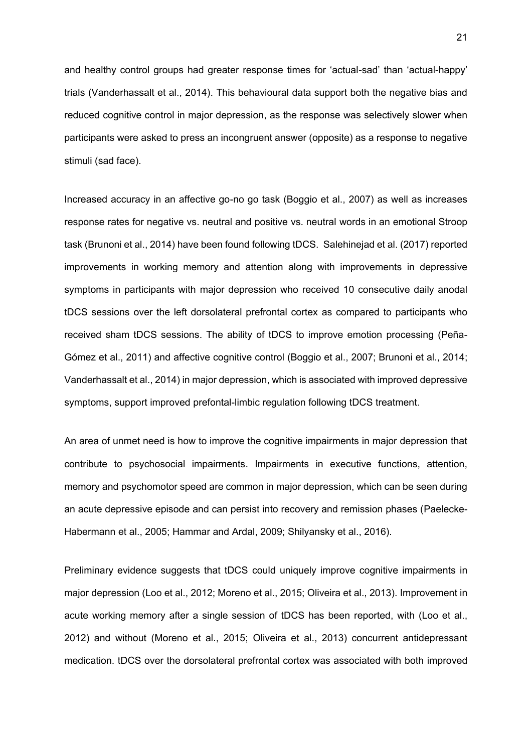and healthy control groups had greater response times for 'actual-sad' than 'actual-happy' trials (Vanderhassalt et al., 2014). This behavioural data support both the negative bias and reduced cognitive control in major depression, as the response was selectively slower when participants were asked to press an incongruent answer (opposite) as a response to negative stimuli (sad face).

Increased accuracy in an affective go-no go task (Boggio et al., 2007) as well as increases response rates for negative vs. neutral and positive vs. neutral words in an emotional Stroop task (Brunoni et al., 2014) have been found following tDCS. Salehinejad et al. (2017) reported improvements in working memory and attention along with improvements in depressive symptoms in participants with major depression who received 10 consecutive daily anodal tDCS sessions over the left dorsolateral prefrontal cortex as compared to participants who received sham tDCS sessions. The ability of tDCS to improve emotion processing (Peña-Gómez et al., 2011) and affective cognitive control (Boggio et al., 2007; Brunoni et al., 2014; Vanderhassalt et al., 2014) in major depression, which is associated with improved depressive symptoms, support improved prefontal-limbic regulation following tDCS treatment.

An area of unmet need is how to improve the cognitive impairments in major depression that contribute to psychosocial impairments. Impairments in executive functions, attention, memory and psychomotor speed are common in major depression, which can be seen during an acute depressive episode and can persist into recovery and remission phases (Paelecke-Habermann et al., 2005; Hammar and Ardal, 2009; Shilyansky et al., 2016).

Preliminary evidence suggests that tDCS could uniquely improve cognitive impairments in major depression (Loo et al., 2012; Moreno et al., 2015; Oliveira et al., 2013). Improvement in acute working memory after a single session of tDCS has been reported, with (Loo et al., 2012) and without (Moreno et al., 2015; Oliveira et al., 2013) concurrent antidepressant medication. tDCS over the dorsolateral prefrontal cortex was associated with both improved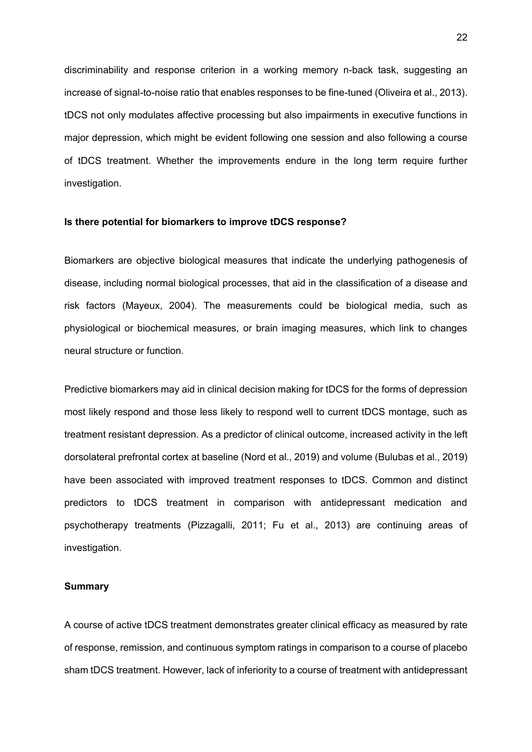discriminability and response criterion in a working memory n-back task, suggesting an increase of signal-to-noise ratio that enables responses to be fine-tuned (Oliveira et al., 2013). tDCS not only modulates affective processing but also impairments in executive functions in major depression, which might be evident following one session and also following a course of tDCS treatment. Whether the improvements endure in the long term require further investigation.

# **Is there potential for biomarkers to improve tDCS response?**

Biomarkers are objective biological measures that indicate the underlying pathogenesis of disease, including normal biological processes, that aid in the classification of a disease and risk factors (Mayeux, 2004). The measurements could be biological media, such as physiological or biochemical measures, or brain imaging measures, which link to changes neural structure or function.

Predictive biomarkers may aid in clinical decision making for tDCS for the forms of depression most likely respond and those less likely to respond well to current tDCS montage, such as treatment resistant depression. As a predictor of clinical outcome, increased activity in the left dorsolateral prefrontal cortex at baseline (Nord et al., 2019) and volume (Bulubas et al., 2019) have been associated with improved treatment responses to tDCS. Common and distinct predictors to tDCS treatment in comparison with antidepressant medication and psychotherapy treatments (Pizzagalli, 2011; Fu et al., 2013) are continuing areas of investigation.

### **Summary**

A course of active tDCS treatment demonstrates greater clinical efficacy as measured by rate of response, remission, and continuous symptom ratings in comparison to a course of placebo sham tDCS treatment. However, lack of inferiority to a course of treatment with antidepressant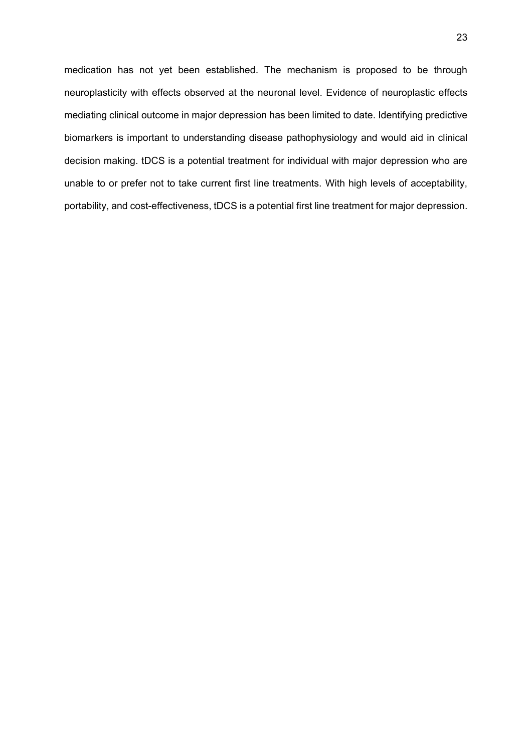medication has not yet been established. The mechanism is proposed to be through neuroplasticity with effects observed at the neuronal level. Evidence of neuroplastic effects mediating clinical outcome in major depression has been limited to date. Identifying predictive biomarkers is important to understanding disease pathophysiology and would aid in clinical decision making. tDCS is a potential treatment for individual with major depression who are unable to or prefer not to take current first line treatments. With high levels of acceptability, portability, and cost-effectiveness, tDCS is a potential first line treatment for major depression.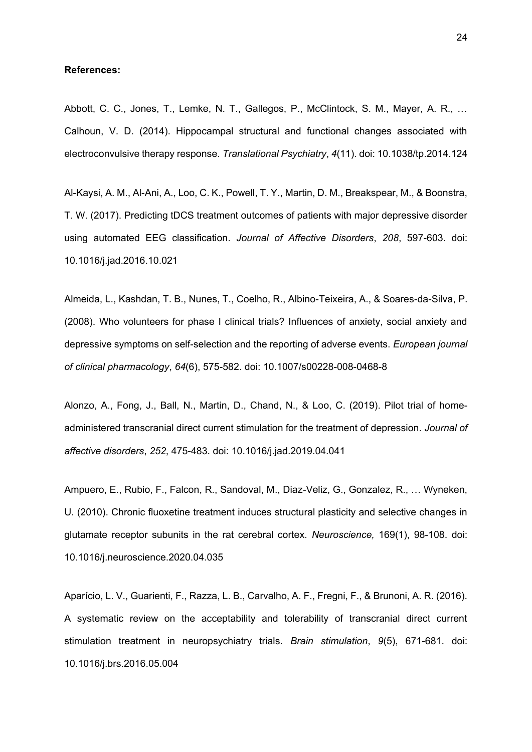#### **References:**

Abbott, C. C., Jones, T., Lemke, N. T., Gallegos, P., McClintock, S. M., Mayer, A. R., … Calhoun, V. D. (2014). Hippocampal structural and functional changes associated with electroconvulsive therapy response. *Translational Psychiatry*, *4*(11). doi: 10.1038/tp.2014.124

Al-Kaysi, A. M., Al-Ani, A., Loo, C. K., Powell, T. Y., Martin, D. M., Breakspear, M., & Boonstra, T. W. (2017). Predicting tDCS treatment outcomes of patients with major depressive disorder using automated EEG classification. *Journal of Affective Disorders*, *208*, 597-603. doi: 10.1016/j.jad.2016.10.021

Almeida, L., Kashdan, T. B., Nunes, T., Coelho, R., Albino-Teixeira, A., & Soares-da-Silva, P. (2008). Who volunteers for phase I clinical trials? Influences of anxiety, social anxiety and depressive symptoms on self-selection and the reporting of adverse events. *European journal of clinical pharmacology*, *64*(6), 575-582. doi: 10.1007/s00228-008-0468-8

Alonzo, A., Fong, J., Ball, N., Martin, D., Chand, N., & Loo, C. (2019). Pilot trial of homeadministered transcranial direct current stimulation for the treatment of depression. *Journal of affective disorders*, *252*, 475-483. doi: 10.1016/j.jad.2019.04.041

Ampuero, E., Rubio, F., Falcon, R., Sandoval, M., Diaz-Veliz, G., Gonzalez, R., … Wyneken, U. (2010). Chronic fluoxetine treatment induces structural plasticity and selective changes in glutamate receptor subunits in the rat cerebral cortex. *Neuroscience,* 169(1), 98-108. doi: 10.1016/j.neuroscience.2020.04.035

Aparício, L. V., Guarienti, F., Razza, L. B., Carvalho, A. F., Fregni, F., & Brunoni, A. R. (2016). A systematic review on the acceptability and tolerability of transcranial direct current stimulation treatment in neuropsychiatry trials. *Brain stimulation*, *9*(5), 671-681. doi: 10.1016/j.brs.2016.05.004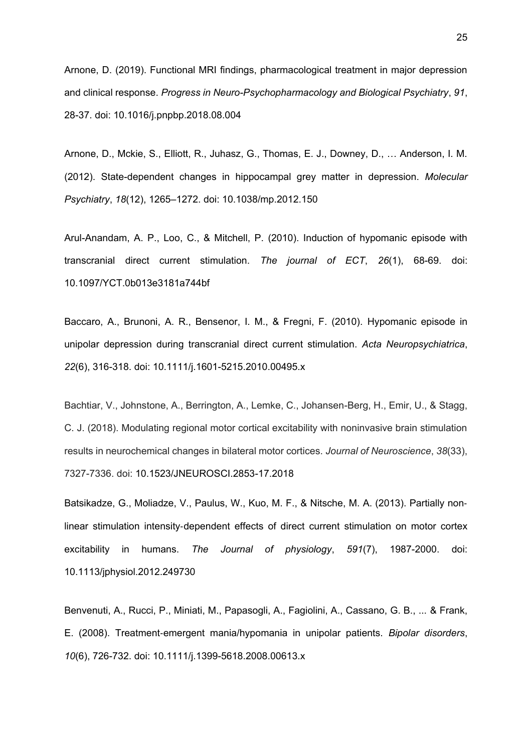Arnone, D. (2019). Functional MRI findings, pharmacological treatment in major depression and clinical response. *Progress in Neuro-Psychopharmacology and Biological Psychiatry*, *91*, 28-37. doi: 10.1016/j.pnpbp.2018.08.004

Arnone, D., Mckie, S., Elliott, R., Juhasz, G., Thomas, E. J., Downey, D., … Anderson, I. M. (2012). State-dependent changes in hippocampal grey matter in depression. *Molecular Psychiatry*, *18*(12), 1265–1272. doi: 10.1038/mp.2012.150

Arul-Anandam, A. P., Loo, C., & Mitchell, P. (2010). Induction of hypomanic episode with transcranial direct current stimulation. *The journal of ECT*, *26*(1), 68-69. doi: 10.1097/YCT.0b013e3181a744bf

Baccaro, A., Brunoni, A. R., Bensenor, I. M., & Fregni, F. (2010). Hypomanic episode in unipolar depression during transcranial direct current stimulation. *Acta Neuropsychiatrica*, *22*(6), 316-318. doi: 10.1111/j.1601-5215.2010.00495.x

Bachtiar, V., Johnstone, A., Berrington, A., Lemke, C., Johansen-Berg, H., Emir, U., & Stagg, C. J. (2018). Modulating regional motor cortical excitability with noninvasive brain stimulation results in neurochemical changes in bilateral motor cortices. *Journal of Neuroscience*, *38*(33), 7327-7336. doi: 10.1523/JNEUROSCI.2853-17.2018

Batsikadze, G., Moliadze, V., Paulus, W., Kuo, M. F., & Nitsche, M. A. (2013). Partially non‐ linear stimulation intensity‐dependent effects of direct current stimulation on motor cortex excitability in humans. *The Journal of physiology*, *591*(7), 1987-2000. doi: 10.1113/jphysiol.2012.249730

Benvenuti, A., Rucci, P., Miniati, M., Papasogli, A., Fagiolini, A., Cassano, G. B., ... & Frank, E. (2008). Treatment‐emergent mania/hypomania in unipolar patients. *Bipolar disorders*, *10*(6), 726-732. doi: 10.1111/j.1399-5618.2008.00613.x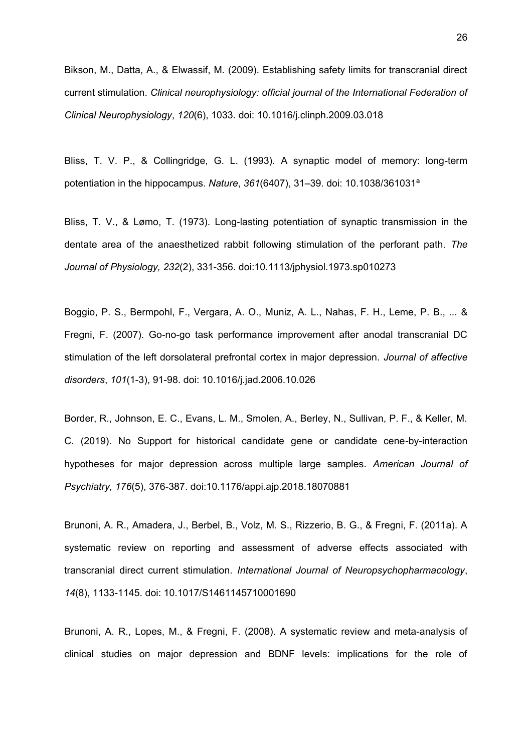Bikson, M., Datta, A., & Elwassif, M. (2009). Establishing safety limits for transcranial direct current stimulation. *Clinical neurophysiology: official journal of the International Federation of Clinical Neurophysiology*, *120*(6), 1033. doi: 10.1016/j.clinph.2009.03.018

Bliss, T. V. P., & Collingridge, G. L. (1993). A synaptic model of memory: long-term potentiation in the hippocampus. *Nature*, *361*(6407), 31–39. doi: 10.1038/361031ª

Bliss, T. V., & Lømo, T. (1973). Long-lasting potentiation of synaptic transmission in the dentate area of the anaesthetized rabbit following stimulation of the perforant path. *The Journal of Physiology, 232*(2), 331-356. doi:10.1113/jphysiol.1973.sp010273

Boggio, P. S., Bermpohl, F., Vergara, A. O., Muniz, A. L., Nahas, F. H., Leme, P. B., ... & Fregni, F. (2007). Go-no-go task performance improvement after anodal transcranial DC stimulation of the left dorsolateral prefrontal cortex in major depression. *Journal of affective disorders*, *101*(1-3), 91-98. doi: 10.1016/j.jad.2006.10.026

Border, R., Johnson, E. C., Evans, L. M., Smolen, A., Berley, N., Sullivan, P. F., & Keller, M. C. (2019). No Support for historical candidate gene or candidate cene-by-interaction hypotheses for major depression across multiple large samples. *American Journal of Psychiatry, 176*(5), 376-387. doi:10.1176/appi.ajp.2018.18070881

Brunoni, A. R., Amadera, J., Berbel, B., Volz, M. S., Rizzerio, B. G., & Fregni, F. (2011a). A systematic review on reporting and assessment of adverse effects associated with transcranial direct current stimulation. *International Journal of Neuropsychopharmacology*, *14*(8), 1133-1145. doi: 10.1017/S1461145710001690

Brunoni, A. R., Lopes, M., & Fregni, F. (2008). A systematic review and meta-analysis of clinical studies on major depression and BDNF levels: implications for the role of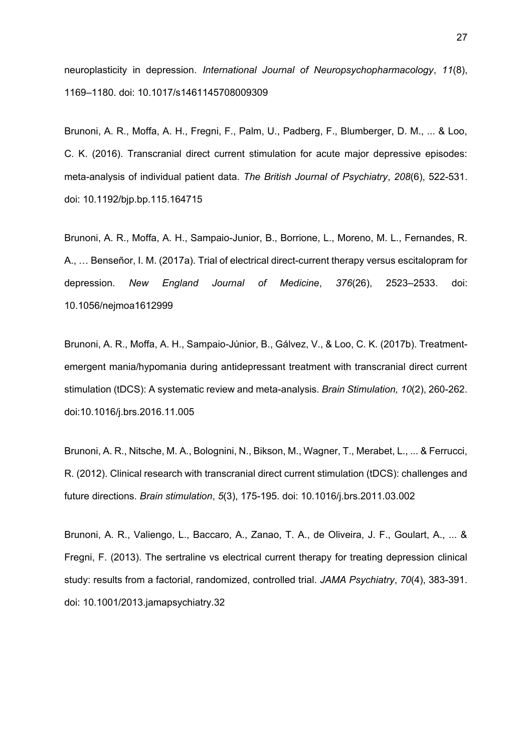neuroplasticity in depression. *International Journal of Neuropsychopharmacology*, *11*(8), 1169–1180. doi: 10.1017/s1461145708009309

Brunoni, A. R., Moffa, A. H., Fregni, F., Palm, U., Padberg, F., Blumberger, D. M., ... & Loo, C. K. (2016). Transcranial direct current stimulation for acute major depressive episodes: meta-analysis of individual patient data. *The British Journal of Psychiatry*, *208*(6), 522-531. doi: 10.1192/bjp.bp.115.164715

Brunoni, A. R., Moffa, A. H., Sampaio-Junior, B., Borrione, L., Moreno, M. L., Fernandes, R. A., … Benseñor, I. M. (2017a). Trial of electrical direct-current therapy versus escitalopram for depression. *New England Journal of Medicine*, *376*(26), 2523–2533. doi: 10.1056/nejmoa1612999

Brunoni, A. R., Moffa, A. H., Sampaio-Júnior, B., Gálvez, V., & Loo, C. K. (2017b). Treatmentemergent mania/hypomania during antidepressant treatment with transcranial direct current stimulation (tDCS): A systematic review and meta-analysis. *Brain Stimulation, 10*(2), 260-262. doi:10.1016/j.brs.2016.11.005

Brunoni, A. R., Nitsche, M. A., Bolognini, N., Bikson, M., Wagner, T., Merabet, L., ... & Ferrucci, R. (2012). Clinical research with transcranial direct current stimulation (tDCS): challenges and future directions. *Brain stimulation*, *5*(3), 175-195. doi: 10.1016/j.brs.2011.03.002

Brunoni, A. R., Valiengo, L., Baccaro, A., Zanao, T. A., de Oliveira, J. F., Goulart, A., ... & Fregni, F. (2013). The sertraline vs electrical current therapy for treating depression clinical study: results from a factorial, randomized, controlled trial. *JAMA Psychiatry*, *70*(4), 383-391. doi: 10.1001/2013.jamapsychiatry.32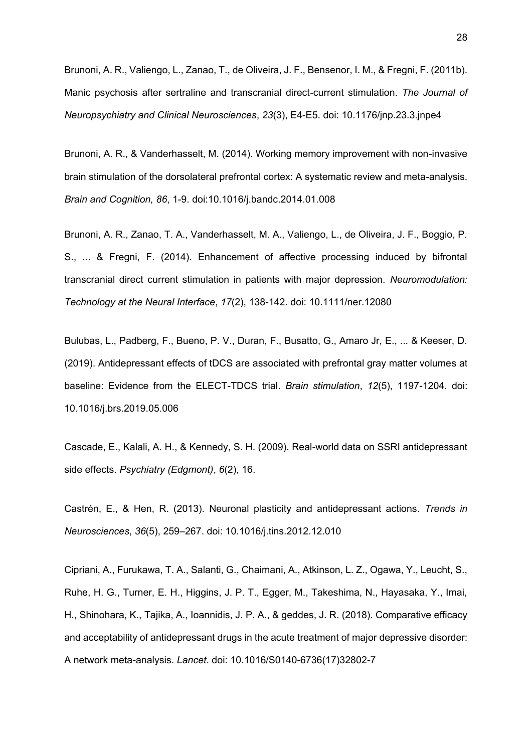Brunoni, A. R., Valiengo, L., Zanao, T., de Oliveira, J. F., Bensenor, I. M., & Fregni, F. (2011b). Manic psychosis after sertraline and transcranial direct-current stimulation. *The Journal of Neuropsychiatry and Clinical Neurosciences*, *23*(3), E4-E5. doi: 10.1176/jnp.23.3.jnpe4

Brunoni, A. R., & Vanderhasselt, M. (2014). Working memory improvement with non-invasive brain stimulation of the dorsolateral prefrontal cortex: A systematic review and meta-analysis. *Brain and Cognition, 86*, 1-9. doi:10.1016/j.bandc.2014.01.008

Brunoni, A. R., Zanao, T. A., Vanderhasselt, M. A., Valiengo, L., de Oliveira, J. F., Boggio, P. S., ... & Fregni, F. (2014). Enhancement of affective processing induced by bifrontal transcranial direct current stimulation in patients with major depression. *Neuromodulation: Technology at the Neural Interface*, *17*(2), 138-142. doi: 10.1111/ner.12080

Bulubas, L., Padberg, F., Bueno, P. V., Duran, F., Busatto, G., Amaro Jr, E., ... & Keeser, D. (2019). Antidepressant effects of tDCS are associated with prefrontal gray matter volumes at baseline: Evidence from the ELECT-TDCS trial. *Brain stimulation*, *12*(5), 1197-1204. doi: 10.1016/j.brs.2019.05.006

Cascade, E., Kalali, A. H., & Kennedy, S. H. (2009). Real-world data on SSRI antidepressant side effects. *Psychiatry (Edgmont)*, *6*(2), 16.

Castrén, E., & Hen, R. (2013). Neuronal plasticity and antidepressant actions. *Trends in Neurosciences*, *36*(5), 259–267. doi: 10.1016/j.tins.2012.12.010

Cipriani, A., Furukawa, T. A., Salanti, G., Chaimani, A., Atkinson, L. Z., Ogawa, Y., Leucht, S., Ruhe, H. G., Turner, E. H., Higgins, J. P. T., Egger, M., Takeshima, N., Hayasaka, Y., Imai, H., Shinohara, K., Tajika, A., Ioannidis, J. P. A., & geddes, J. R. (2018). Comparative efficacy and acceptability of antidepressant drugs in the acute treatment of major depressive disorder: A network meta-analysis. *Lancet*. doi: 10.1016/S0140-6736(17)32802-7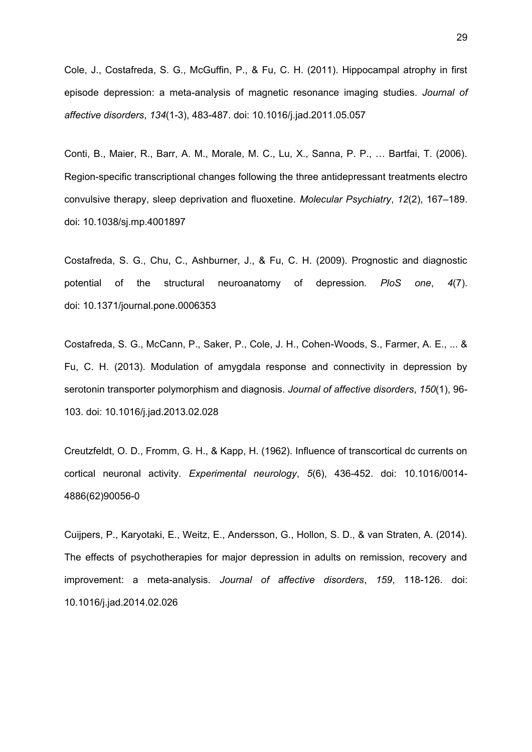Cole, J., Costafreda, S. G., McGuffin, P., & Fu, C. H. (2011). Hippocampal atrophy in first episode depression: a meta-analysis of magnetic resonance imaging studies. *Journal of affective disorders*, *134*(1-3), 483-487. doi: 10.1016/j.jad.2011.05.057

Conti, B., Maier, R., Barr, A. M., Morale, M. C., Lu, X., Sanna, P. P., … Bartfai, T. (2006). Region-specific transcriptional changes following the three antidepressant treatments electro convulsive therapy, sleep deprivation and fluoxetine. *Molecular Psychiatry*, *12*(2), 167–189. doi: 10.1038/sj.mp.4001897

Costafreda, S. G., Chu, C., Ashburner, J., & Fu, C. H. (2009). Prognostic and diagnostic potential of the structural neuroanatomy of depression. *PloS one*, *4*(7). doi: 10.1371/journal.pone.0006353

Costafreda, S. G., McCann, P., Saker, P., Cole, J. H., Cohen-Woods, S., Farmer, A. E., ... & Fu, C. H. (2013). Modulation of amygdala response and connectivity in depression by serotonin transporter polymorphism and diagnosis. *Journal of affective disorders*, *150*(1), 96- 103. doi: 10.1016/j.jad.2013.02.028

Creutzfeldt, O. D., Fromm, G. H., & Kapp, H. (1962). Influence of transcortical dc currents on cortical neuronal activity. *Experimental neurology*, *5*(6), 436-452. doi: 10.1016/0014- 4886(62)90056-0

Cuijpers, P., Karyotaki, E., Weitz, E., Andersson, G., Hollon, S. D., & van Straten, A. (2014). The effects of psychotherapies for major depression in adults on remission, recovery and improvement: a meta-analysis. *Journal of affective disorders*, *159*, 118-126. doi: 10.1016/j.jad.2014.02.026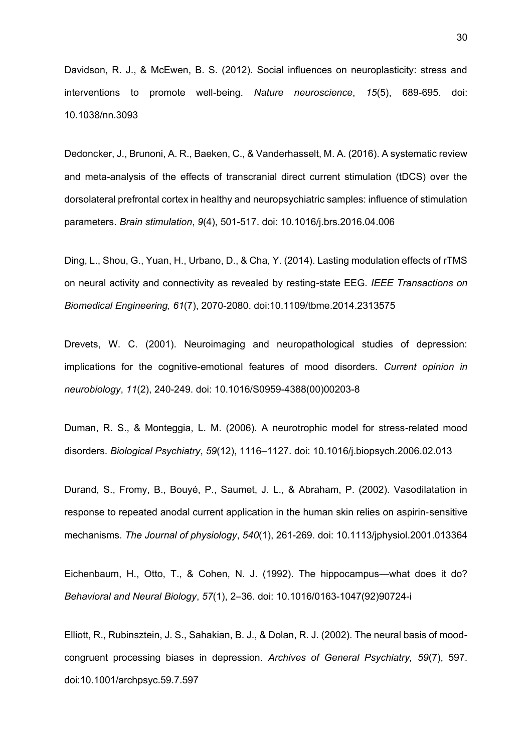Davidson, R. J., & McEwen, B. S. (2012). Social influences on neuroplasticity: stress and interventions to promote well-being. *Nature neuroscience*, *15*(5), 689-695. doi: 10.1038/nn.3093

Dedoncker, J., Brunoni, A. R., Baeken, C., & Vanderhasselt, M. A. (2016). A systematic review and meta-analysis of the effects of transcranial direct current stimulation (tDCS) over the dorsolateral prefrontal cortex in healthy and neuropsychiatric samples: influence of stimulation parameters. *Brain stimulation*, *9*(4), 501-517. doi: 10.1016/j.brs.2016.04.006

Ding, L., Shou, G., Yuan, H., Urbano, D., & Cha, Y. (2014). Lasting modulation effects of rTMS on neural activity and connectivity as revealed by resting-state EEG. *IEEE Transactions on Biomedical Engineering, 61*(7), 2070-2080. doi:10.1109/tbme.2014.2313575

Drevets, W. C. (2001). Neuroimaging and neuropathological studies of depression: implications for the cognitive-emotional features of mood disorders. *Current opinion in neurobiology*, *11*(2), 240-249. doi: 10.1016/S0959-4388(00)00203-8

Duman, R. S., & Monteggia, L. M. (2006). A neurotrophic model for stress-related mood disorders. *Biological Psychiatry*, *59*(12), 1116–1127. doi: 10.1016/j.biopsych.2006.02.013

Durand, S., Fromy, B., Bouyé, P., Saumet, J. L., & Abraham, P. (2002). Vasodilatation in response to repeated anodal current application in the human skin relies on aspirin‐sensitive mechanisms. *The Journal of physiology*, *540*(1), 261-269. doi: 10.1113/jphysiol.2001.013364

Eichenbaum, H., Otto, T., & Cohen, N. J. (1992). The hippocampus—what does it do? *Behavioral and Neural Biology*, *57*(1), 2–36. doi: 10.1016/0163-1047(92)90724-i

Elliott, R., Rubinsztein, J. S., Sahakian, B. J., & Dolan, R. J. (2002). The neural basis of moodcongruent processing biases in depression. *Archives of General Psychiatry, 59*(7), 597. doi:10.1001/archpsyc.59.7.597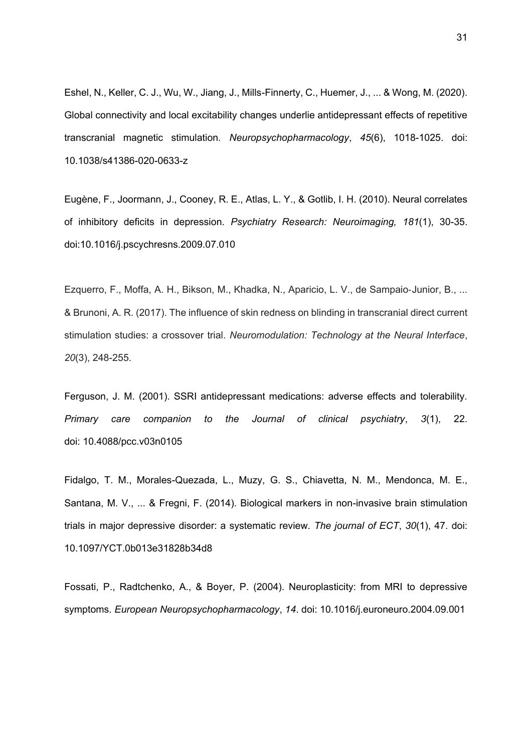Eshel, N., Keller, C. J., Wu, W., Jiang, J., Mills-Finnerty, C., Huemer, J., ... & Wong, M. (2020). Global connectivity and local excitability changes underlie antidepressant effects of repetitive transcranial magnetic stimulation. *Neuropsychopharmacology*, *45*(6), 1018-1025. doi: 10.1038/s41386-020-0633-z

Eugène, F., Joormann, J., Cooney, R. E., Atlas, L. Y., & Gotlib, I. H. (2010). Neural correlates of inhibitory deficits in depression. *Psychiatry Research: Neuroimaging, 181*(1), 30-35. doi:10.1016/j.pscychresns.2009.07.010

Ezquerro, F., Moffa, A. H., Bikson, M., Khadka, N., Aparicio, L. V., de Sampaio‐Junior, B., ... & Brunoni, A. R. (2017). The influence of skin redness on blinding in transcranial direct current stimulation studies: a crossover trial. *Neuromodulation: Technology at the Neural Interface*, *20*(3), 248-255.

Ferguson, J. M. (2001). SSRI antidepressant medications: adverse effects and tolerability. *Primary care companion to the Journal of clinical psychiatry*, *3*(1), 22. doi: 10.4088/pcc.v03n0105

Fidalgo, T. M., Morales-Quezada, L., Muzy, G. S., Chiavetta, N. M., Mendonca, M. E., Santana, M. V., ... & Fregni, F. (2014). Biological markers in non-invasive brain stimulation trials in major depressive disorder: a systematic review. *The journal of ECT*, *30*(1), 47. doi: 10.1097/YCT.0b013e31828b34d8

Fossati, P., Radtchenko, A., & Boyer, P. (2004). Neuroplasticity: from MRI to depressive symptoms. *European Neuropsychopharmacology*, *14*. doi: 10.1016/j.euroneuro.2004.09.001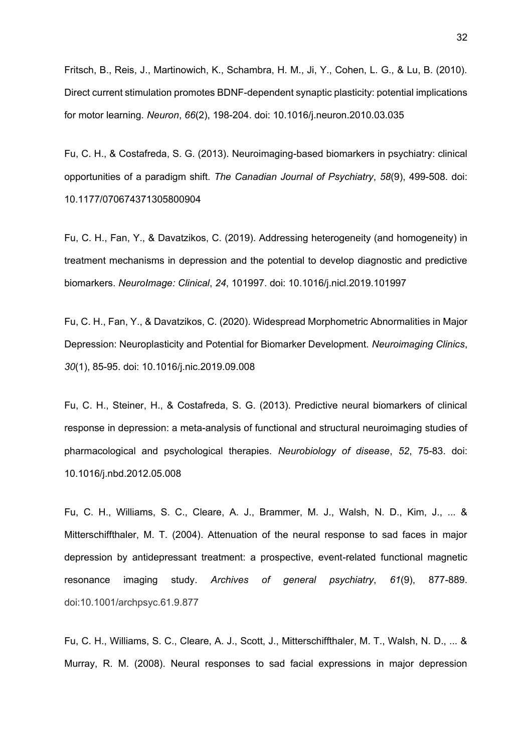Fritsch, B., Reis, J., Martinowich, K., Schambra, H. M., Ji, Y., Cohen, L. G., & Lu, B. (2010). Direct current stimulation promotes BDNF-dependent synaptic plasticity: potential implications for motor learning. *Neuron*, *66*(2), 198-204. doi: 10.1016/j.neuron.2010.03.035

Fu, C. H., & Costafreda, S. G. (2013). Neuroimaging-based biomarkers in psychiatry: clinical opportunities of a paradigm shift. *The Canadian Journal of Psychiatry*, *58*(9), 499-508. doi: 10.1177/070674371305800904

Fu, C. H., Fan, Y., & Davatzikos, C. (2019). Addressing heterogeneity (and homogeneity) in treatment mechanisms in depression and the potential to develop diagnostic and predictive biomarkers. *NeuroImage: Clinical*, *24*, 101997. doi: 10.1016/j.nicl.2019.101997

Fu, C. H., Fan, Y., & Davatzikos, C. (2020). Widespread Morphometric Abnormalities in Major Depression: Neuroplasticity and Potential for Biomarker Development. *Neuroimaging Clinics*, *30*(1), 85-95. doi: 10.1016/j.nic.2019.09.008

Fu, C. H., Steiner, H., & Costafreda, S. G. (2013). Predictive neural biomarkers of clinical response in depression: a meta-analysis of functional and structural neuroimaging studies of pharmacological and psychological therapies. *Neurobiology of disease*, *52*, 75-83. doi: 10.1016/j.nbd.2012.05.008

Fu, C. H., Williams, S. C., Cleare, A. J., Brammer, M. J., Walsh, N. D., Kim, J., ... & Mitterschiffthaler, M. T. (2004). Attenuation of the neural response to sad faces in major depression by antidepressant treatment: a prospective, event-related functional magnetic resonance imaging study. *Archives of general psychiatry*, *61*(9), 877-889. doi:10.1001/archpsyc.61.9.877

Fu, C. H., Williams, S. C., Cleare, A. J., Scott, J., Mitterschiffthaler, M. T., Walsh, N. D., ... & Murray, R. M. (2008). Neural responses to sad facial expressions in major depression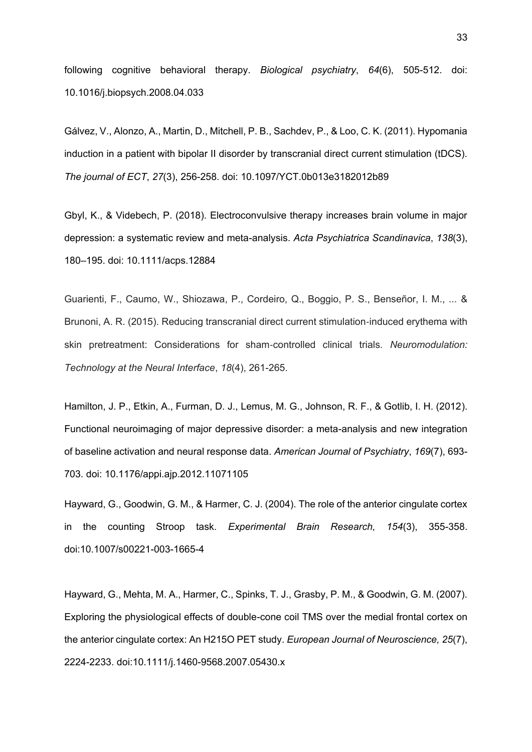following cognitive behavioral therapy. *Biological psychiatry*, *64*(6), 505-512. doi: 10.1016/j.biopsych.2008.04.033

Gálvez, V., Alonzo, A., Martin, D., Mitchell, P. B., Sachdev, P., & Loo, C. K. (2011). Hypomania induction in a patient with bipolar II disorder by transcranial direct current stimulation (tDCS). *The journal of ECT*, *27*(3), 256-258. doi: 10.1097/YCT.0b013e3182012b89

Gbyl, K., & Videbech, P. (2018). Electroconvulsive therapy increases brain volume in major depression: a systematic review and meta-analysis. *Acta Psychiatrica Scandinavica*, *138*(3), 180–195. doi: 10.1111/acps.12884

Guarienti, F., Caumo, W., Shiozawa, P., Cordeiro, Q., Boggio, P. S., Benseñor, I. M., ... & Brunoni, A. R. (2015). Reducing transcranial direct current stimulation‐induced erythema with skin pretreatment: Considerations for sham‐controlled clinical trials. *Neuromodulation: Technology at the Neural Interface*, *18*(4), 261-265.

Hamilton, J. P., Etkin, A., Furman, D. J., Lemus, M. G., Johnson, R. F., & Gotlib, I. H. (2012). Functional neuroimaging of major depressive disorder: a meta-analysis and new integration of baseline activation and neural response data. *American Journal of Psychiatry*, *169*(7), 693- 703. doi: 10.1176/appi.ajp.2012.11071105

Hayward, G., Goodwin, G. M., & Harmer, C. J. (2004). The role of the anterior cingulate cortex in the counting Stroop task. *Experimental Brain Research, 154*(3), 355-358. doi:10.1007/s00221-003-1665-4

Hayward, G., Mehta, M. A., Harmer, C., Spinks, T. J., Grasby, P. M., & Goodwin, G. M. (2007). Exploring the physiological effects of double-cone coil TMS over the medial frontal cortex on the anterior cingulate cortex: An H215O PET study. *European Journal of Neuroscience, 25*(7), 2224-2233. doi:10.1111/j.1460-9568.2007.05430.x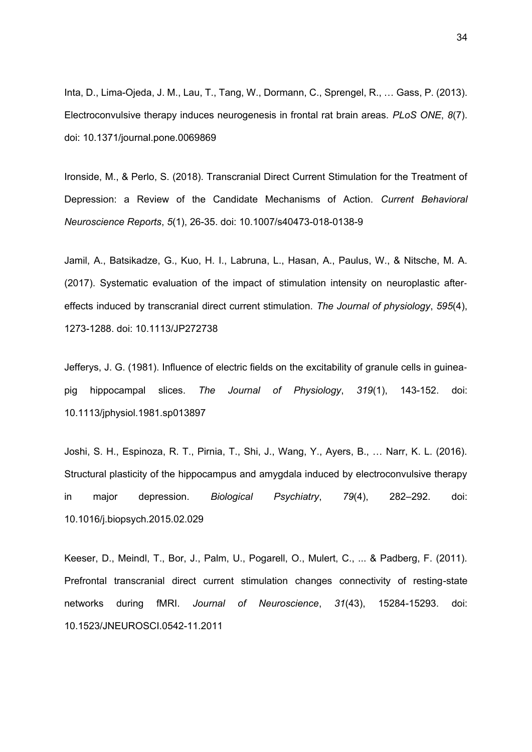Inta, D., Lima-Ojeda, J. M., Lau, T., Tang, W., Dormann, C., Sprengel, R., … Gass, P. (2013). Electroconvulsive therapy induces neurogenesis in frontal rat brain areas. *PLoS ONE*, *8*(7). doi: 10.1371/journal.pone.0069869

Ironside, M., & Perlo, S. (2018). Transcranial Direct Current Stimulation for the Treatment of Depression: a Review of the Candidate Mechanisms of Action. *Current Behavioral Neuroscience Reports*, *5*(1), 26-35. doi: 10.1007/s40473-018-0138-9

Jamil, A., Batsikadze, G., Kuo, H. I., Labruna, L., Hasan, A., Paulus, W., & Nitsche, M. A. (2017). Systematic evaluation of the impact of stimulation intensity on neuroplastic after‐ effects induced by transcranial direct current stimulation. *The Journal of physiology*, *595*(4), 1273-1288. doi: 10.1113/JP272738

Jefferys, J. G. (1981). Influence of electric fields on the excitability of granule cells in guinea‐ pig hippocampal slices. *The Journal of Physiology*, *319*(1), 143-152. doi: 10.1113/jphysiol.1981.sp013897

Joshi, S. H., Espinoza, R. T., Pirnia, T., Shi, J., Wang, Y., Ayers, B., … Narr, K. L. (2016). Structural plasticity of the hippocampus and amygdala induced by electroconvulsive therapy in major depression. *Biological Psychiatry*, *79*(4), 282–292. doi: 10.1016/j.biopsych.2015.02.029

Keeser, D., Meindl, T., Bor, J., Palm, U., Pogarell, O., Mulert, C., ... & Padberg, F. (2011). Prefrontal transcranial direct current stimulation changes connectivity of resting-state networks during fMRI. *Journal of Neuroscience*, *31*(43), 15284-15293. doi: 10.1523/JNEUROSCI.0542-11.2011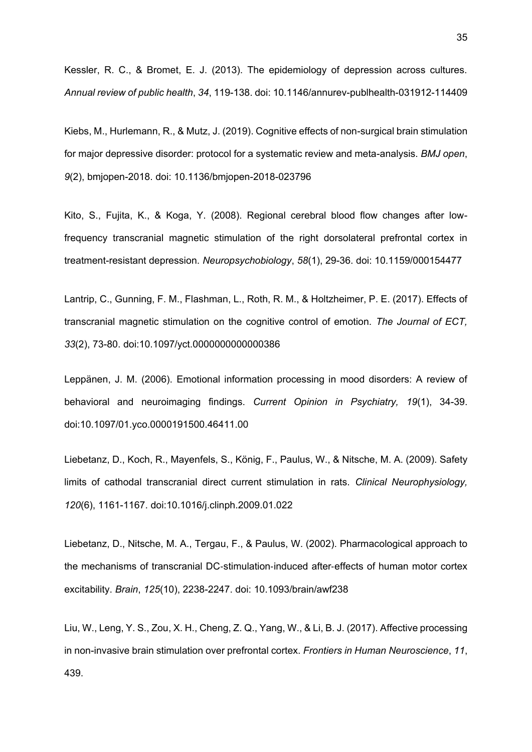Kessler, R. C., & Bromet, E. J. (2013). The epidemiology of depression across cultures. *Annual review of public health*, *34*, 119-138. doi: 10.1146/annurev-publhealth-031912-114409

Kiebs, M., Hurlemann, R., & Mutz, J. (2019). Cognitive effects of non-surgical brain stimulation for major depressive disorder: protocol for a systematic review and meta-analysis. *BMJ open*, *9*(2), bmjopen-2018. doi: 10.1136/bmjopen-2018-023796

Kito, S., Fujita, K., & Koga, Y. (2008). Regional cerebral blood flow changes after lowfrequency transcranial magnetic stimulation of the right dorsolateral prefrontal cortex in treatment-resistant depression. *Neuropsychobiology*, *58*(1), 29-36. doi: 10.1159/000154477

Lantrip, C., Gunning, F. M., Flashman, L., Roth, R. M., & Holtzheimer, P. E. (2017). Effects of transcranial magnetic stimulation on the cognitive control of emotion. *The Journal of ECT, 33*(2), 73-80. doi:10.1097/yct.0000000000000386

Leppänen, J. M. (2006). Emotional information processing in mood disorders: A review of behavioral and neuroimaging findings. *Current Opinion in Psychiatry, 19*(1), 34-39. doi:10.1097/01.yco.0000191500.46411.00

Liebetanz, D., Koch, R., Mayenfels, S., König, F., Paulus, W., & Nitsche, M. A. (2009). Safety limits of cathodal transcranial direct current stimulation in rats. *Clinical Neurophysiology, 120*(6), 1161-1167. doi:10.1016/j.clinph.2009.01.022

Liebetanz, D., Nitsche, M. A., Tergau, F., & Paulus, W. (2002). Pharmacological approach to the mechanisms of transcranial DC‐stimulation‐induced after‐effects of human motor cortex excitability. *Brain*, *125*(10), 2238-2247. doi: 10.1093/brain/awf238

Liu, W., Leng, Y. S., Zou, X. H., Cheng, Z. Q., Yang, W., & Li, B. J. (2017). Affective processing in non-invasive brain stimulation over prefrontal cortex. *Frontiers in Human Neuroscience*, *11*, 439.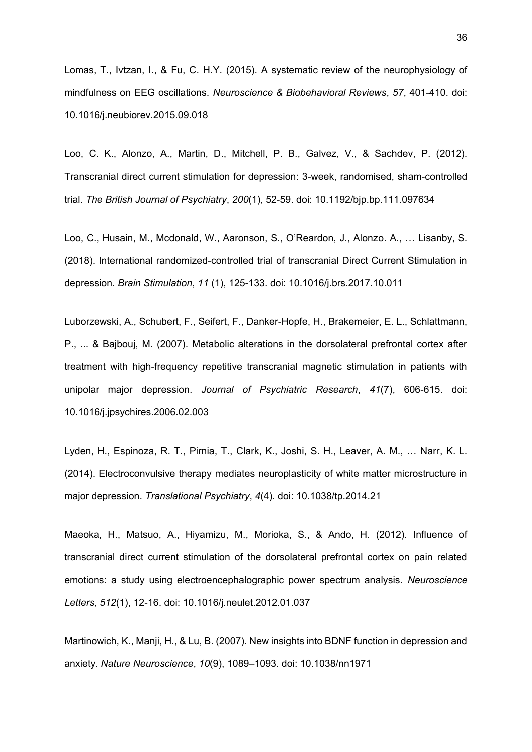Lomas, T., Ivtzan, I., & Fu, C. H.Y. (2015). A systematic review of the neurophysiology of mindfulness on EEG oscillations. *Neuroscience & Biobehavioral Reviews*, *57*, 401-410. doi: 10.1016/j.neubiorev.2015.09.018

Loo, C. K., Alonzo, A., Martin, D., Mitchell, P. B., Galvez, V., & Sachdev, P. (2012). Transcranial direct current stimulation for depression: 3-week, randomised, sham-controlled trial. *The British Journal of Psychiatry*, *200*(1), 52-59. doi: 10.1192/bjp.bp.111.097634

Loo, C., Husain, M., Mcdonald, W., Aaronson, S., O'Reardon, J., Alonzo. A., … Lisanby, S. (2018). International randomized-controlled trial of transcranial Direct Current Stimulation in depression. *Brain Stimulation*, *11* (1), 125-133. doi: 10.1016/j.brs.2017.10.011

Luborzewski, A., Schubert, F., Seifert, F., Danker-Hopfe, H., Brakemeier, E. L., Schlattmann, P., ... & Bajbouj, M. (2007). Metabolic alterations in the dorsolateral prefrontal cortex after treatment with high-frequency repetitive transcranial magnetic stimulation in patients with unipolar major depression. *Journal of Psychiatric Research*, *41*(7), 606-615. doi: 10.1016/j.jpsychires.2006.02.003

Lyden, H., Espinoza, R. T., Pirnia, T., Clark, K., Joshi, S. H., Leaver, A. M., … Narr, K. L. (2014). Electroconvulsive therapy mediates neuroplasticity of white matter microstructure in major depression. *Translational Psychiatry*, *4*(4). doi: 10.1038/tp.2014.21

Maeoka, H., Matsuo, A., Hiyamizu, M., Morioka, S., & Ando, H. (2012). Influence of transcranial direct current stimulation of the dorsolateral prefrontal cortex on pain related emotions: a study using electroencephalographic power spectrum analysis. *Neuroscience Letters*, *512*(1), 12-16. doi: 10.1016/j.neulet.2012.01.037

Martinowich, K., Manji, H., & Lu, B. (2007). New insights into BDNF function in depression and anxiety. *Nature Neuroscience*, *10*(9), 1089–1093. doi: 10.1038/nn1971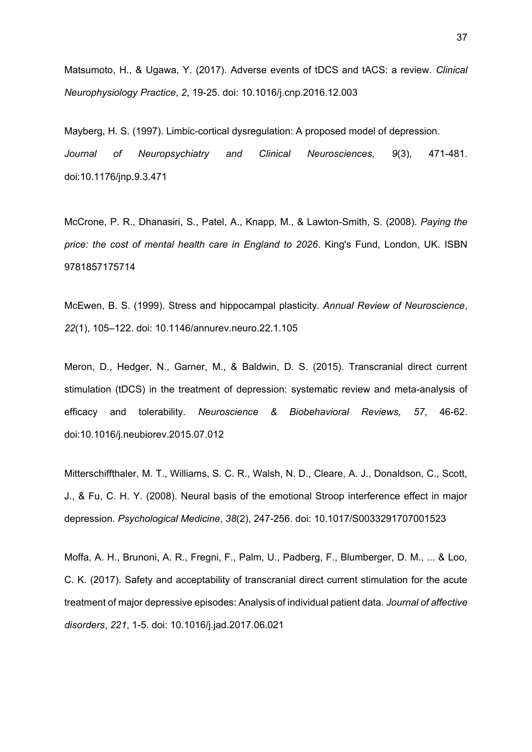Matsumoto, H., & Ugawa, Y. (2017). Adverse events of tDCS and tACS: a review. *Clinical Neurophysiology Practice*, *2*, 19-25. doi: 10.1016/j.cnp.2016.12.003

Mayberg, H. S. (1997). Limbic-cortical dysregulation: A proposed model of depression. *Journal of Neuropsychiatry and Clinical Neurosciences, 9*(3), 471-481. doi:10.1176/jnp.9.3.471

McCrone, P. R., Dhanasiri, S., Patel, A., Knapp, M., & Lawton-Smith, S. (2008). *Paying the price: the cost of mental health care in England to 2026*. King's Fund, London, UK. ISBN 9781857175714

McEwen, B. S. (1999). Stress and hippocampal plasticity. *Annual Review of Neuroscience*, *22*(1), 105–122. doi: 10.1146/annurev.neuro.22.1.105

Meron, D., Hedger, N., Garner, M., & Baldwin, D. S. (2015). Transcranial direct current stimulation (tDCS) in the treatment of depression: systematic review and meta-analysis of efficacy and tolerability. *Neuroscience & Biobehavioral Reviews, 57*, 46-62. doi:10.1016/j.neubiorev.2015.07.012

Mitterschiffthaler, M. T., Williams, S. C. R., Walsh, N. D., Cleare, A. J., Donaldson, C., Scott, J., & Fu, C. H. Y. (2008). Neural basis of the emotional Stroop interference effect in major depression. *Psychological Medicine*, *38*(2), 247-256. doi: 10.1017/S0033291707001523

Moffa, A. H., Brunoni, A. R., Fregni, F., Palm, U., Padberg, F., Blumberger, D. M., ... & Loo, C. K. (2017). Safety and acceptability of transcranial direct current stimulation for the acute treatment of major depressive episodes: Analysis of individual patient data. *Journal of affective disorders*, *221*, 1-5. doi: 10.1016/j.jad.2017.06.021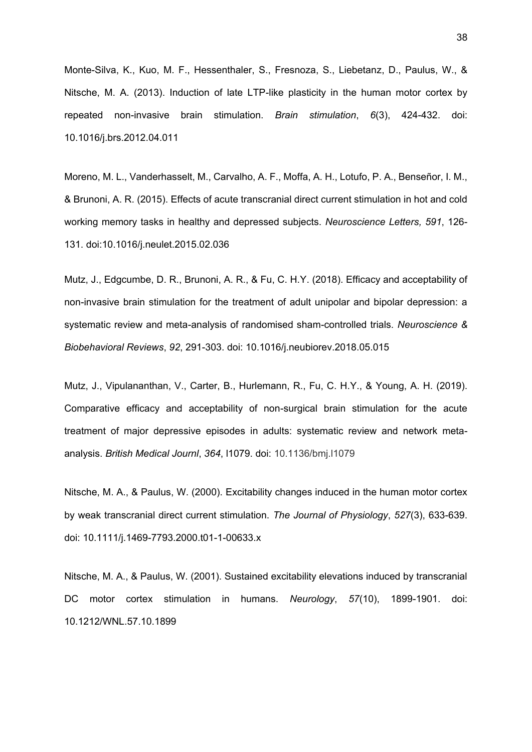Monte-Silva, K., Kuo, M. F., Hessenthaler, S., Fresnoza, S., Liebetanz, D., Paulus, W., & Nitsche, M. A. (2013). Induction of late LTP-like plasticity in the human motor cortex by repeated non-invasive brain stimulation. *Brain stimulation*, *6*(3), 424-432. doi: 10.1016/j.brs.2012.04.011

Moreno, M. L., Vanderhasselt, M., Carvalho, A. F., Moffa, A. H., Lotufo, P. A., Benseñor, I. M., & Brunoni, A. R. (2015). Effects of acute transcranial direct current stimulation in hot and cold working memory tasks in healthy and depressed subjects. *Neuroscience Letters, 591*, 126- 131. doi:10.1016/j.neulet.2015.02.036

Mutz, J., Edgcumbe, D. R., Brunoni, A. R., & Fu, C. H.Y. (2018). Efficacy and acceptability of non-invasive brain stimulation for the treatment of adult unipolar and bipolar depression: a systematic review and meta-analysis of randomised sham-controlled trials. *Neuroscience & Biobehavioral Reviews*, *92*, 291-303. doi: 10.1016/j.neubiorev.2018.05.015

Mutz, J., Vipulananthan, V., Carter, B., Hurlemann, R., Fu, C. H.Y., & Young, A. H. (2019). Comparative efficacy and acceptability of non-surgical brain stimulation for the acute treatment of major depressive episodes in adults: systematic review and network metaanalysis. *British Medical Journl*, *364*, l1079. doi: 10.1136/bmj.l1079

Nitsche, M. A., & Paulus, W. (2000). Excitability changes induced in the human motor cortex by weak transcranial direct current stimulation. *The Journal of Physiology*, *527*(3), 633-639. doi: 10.1111/j.1469-7793.2000.t01-1-00633.x

Nitsche, M. A., & Paulus, W. (2001). Sustained excitability elevations induced by transcranial DC motor cortex stimulation in humans. *Neurology*, *57*(10), 1899-1901. doi: 10.1212/WNL.57.10.1899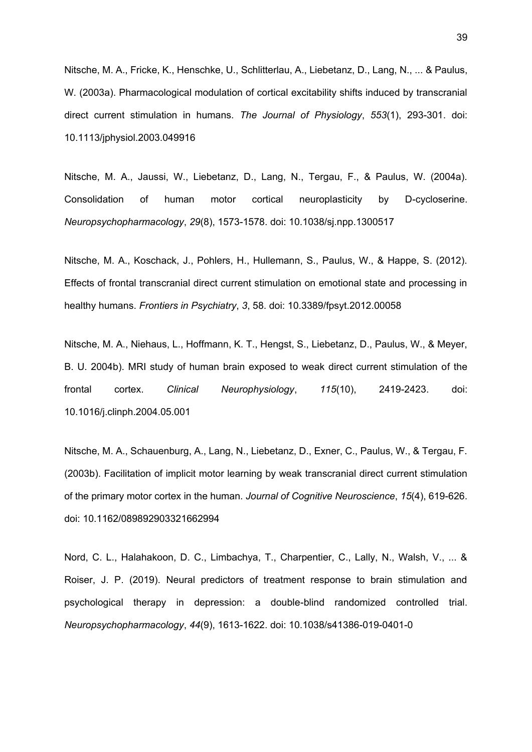Nitsche, M. A., Fricke, K., Henschke, U., Schlitterlau, A., Liebetanz, D., Lang, N., ... & Paulus, W. (2003a). Pharmacological modulation of cortical excitability shifts induced by transcranial direct current stimulation in humans. *The Journal of Physiology*, *553*(1), 293-301. doi: 10.1113/jphysiol.2003.049916

Nitsche, M. A., Jaussi, W., Liebetanz, D., Lang, N., Tergau, F., & Paulus, W. (2004a). Consolidation of human motor cortical neuroplasticity by D-cycloserine. *Neuropsychopharmacology*, *29*(8), 1573-1578. doi: 10.1038/sj.npp.1300517

Nitsche, M. A., Koschack, J., Pohlers, H., Hullemann, S., Paulus, W., & Happe, S. (2012). Effects of frontal transcranial direct current stimulation on emotional state and processing in healthy humans. *Frontiers in Psychiatry*, *3*, 58. doi: 10.3389/fpsyt.2012.00058

Nitsche, M. A., Niehaus, L., Hoffmann, K. T., Hengst, S., Liebetanz, D., Paulus, W., & Meyer, B. U. 2004b). MRI study of human brain exposed to weak direct current stimulation of the frontal cortex. *Clinical Neurophysiology*, *115*(10), 2419-2423. doi: 10.1016/j.clinph.2004.05.001

Nitsche, M. A., Schauenburg, A., Lang, N., Liebetanz, D., Exner, C., Paulus, W., & Tergau, F. (2003b). Facilitation of implicit motor learning by weak transcranial direct current stimulation of the primary motor cortex in the human. *Journal of Cognitive Neuroscience*, *15*(4), 619-626. doi: 10.1162/089892903321662994

Nord, C. L., Halahakoon, D. C., Limbachya, T., Charpentier, C., Lally, N., Walsh, V., ... & Roiser, J. P. (2019). Neural predictors of treatment response to brain stimulation and psychological therapy in depression: a double-blind randomized controlled trial. *Neuropsychopharmacology*, *44*(9), 1613-1622. doi: 10.1038/s41386-019-0401-0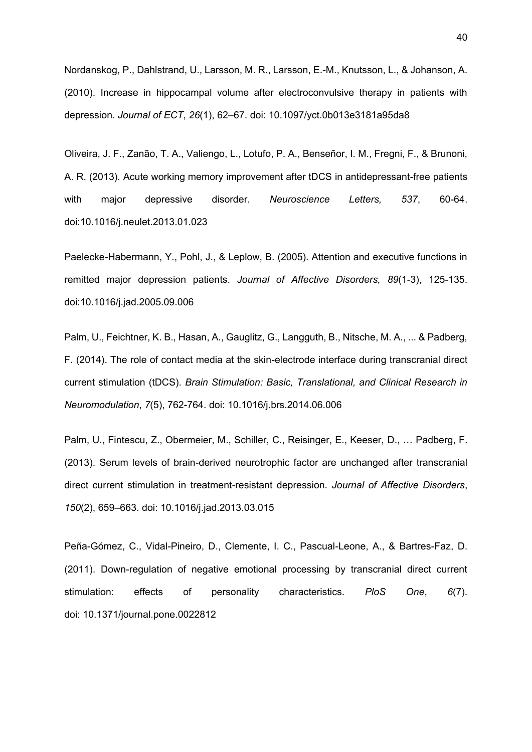Nordanskog, P., Dahlstrand, U., Larsson, M. R., Larsson, E.-M., Knutsson, L., & Johanson, A. (2010). Increase in hippocampal volume after electroconvulsive therapy in patients with depression. *Journal of ECT*, *26*(1), 62–67. doi: 10.1097/yct.0b013e3181a95da8

Oliveira, J. F., Zanão, T. A., Valiengo, L., Lotufo, P. A., Benseñor, I. M., Fregni, F., & Brunoni, A. R. (2013). Acute working memory improvement after tDCS in antidepressant-free patients with major depressive disorder. *Neuroscience Letters, 537*, 60-64. doi:10.1016/j.neulet.2013.01.023

Paelecke-Habermann, Y., Pohl, J., & Leplow, B. (2005). Attention and executive functions in remitted major depression patients. *Journal of Affective Disorders, 89*(1-3), 125-135. doi:10.1016/j.jad.2005.09.006

Palm, U., Feichtner, K. B., Hasan, A., Gauglitz, G., Langguth, B., Nitsche, M. A., ... & Padberg, F. (2014). The role of contact media at the skin-electrode interface during transcranial direct current stimulation (tDCS). *Brain Stimulation: Basic, Translational, and Clinical Research in Neuromodulation*, *7*(5), 762-764. doi: 10.1016/j.brs.2014.06.006

Palm, U., Fintescu, Z., Obermeier, M., Schiller, C., Reisinger, E., Keeser, D., … Padberg, F. (2013). Serum levels of brain-derived neurotrophic factor are unchanged after transcranial direct current stimulation in treatment-resistant depression. *Journal of Affective Disorders*, *150*(2), 659–663. doi: 10.1016/j.jad.2013.03.015

Peña-Gómez, C., Vidal-Pineiro, D., Clemente, I. C., Pascual-Leone, A., & Bartres-Faz, D. (2011). Down-regulation of negative emotional processing by transcranial direct current stimulation: effects of personality characteristics. *PloS One*, *6*(7). doi: 10.1371/journal.pone.0022812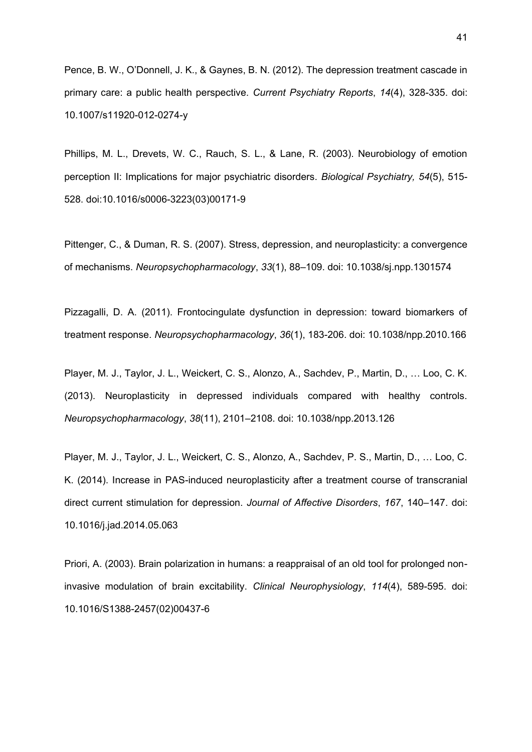Pence, B. W., O'Donnell, J. K., & Gaynes, B. N. (2012). The depression treatment cascade in primary care: a public health perspective. *Current Psychiatry Reports*, *14*(4), 328-335. doi: 10.1007/s11920-012-0274-y

Phillips, M. L., Drevets, W. C., Rauch, S. L., & Lane, R. (2003). Neurobiology of emotion perception II: Implications for major psychiatric disorders. *Biological Psychiatry, 54*(5), 515- 528. doi:10.1016/s0006-3223(03)00171-9

Pittenger, C., & Duman, R. S. (2007). Stress, depression, and neuroplasticity: a convergence of mechanisms. *Neuropsychopharmacology*, *33*(1), 88–109. doi: 10.1038/sj.npp.1301574

Pizzagalli, D. A. (2011). Frontocingulate dysfunction in depression: toward biomarkers of treatment response. *Neuropsychopharmacology*, *36*(1), 183-206. doi: 10.1038/npp.2010.166

Player, M. J., Taylor, J. L., Weickert, C. S., Alonzo, A., Sachdev, P., Martin, D., … Loo, C. K. (2013). Neuroplasticity in depressed individuals compared with healthy controls. *Neuropsychopharmacology*, *38*(11), 2101–2108. doi: 10.1038/npp.2013.126

Player, M. J., Taylor, J. L., Weickert, C. S., Alonzo, A., Sachdev, P. S., Martin, D., … Loo, C. K. (2014). Increase in PAS-induced neuroplasticity after a treatment course of transcranial direct current stimulation for depression. *Journal of Affective Disorders*, *167*, 140–147. doi: 10.1016/j.jad.2014.05.063

Priori, A. (2003). Brain polarization in humans: a reappraisal of an old tool for prolonged noninvasive modulation of brain excitability. *Clinical Neurophysiology*, *114*(4), 589-595. doi: 10.1016/S1388-2457(02)00437-6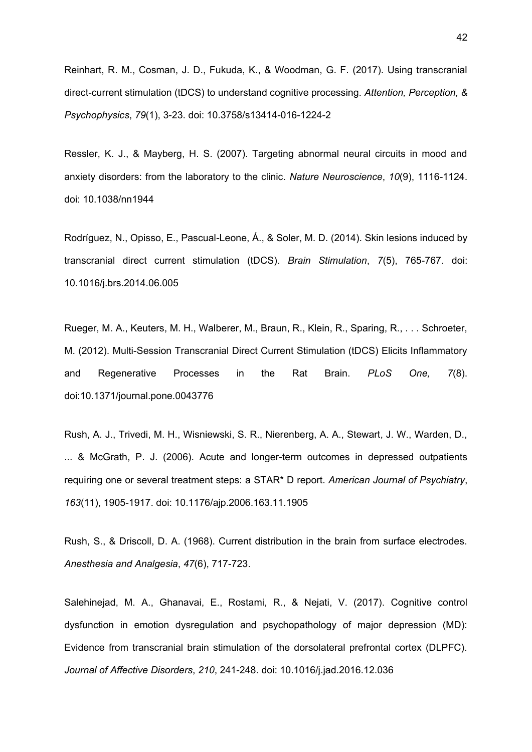Reinhart, R. M., Cosman, J. D., Fukuda, K., & Woodman, G. F. (2017). Using transcranial direct-current stimulation (tDCS) to understand cognitive processing. *Attention, Perception, & Psychophysics*, *79*(1), 3-23. doi: 10.3758/s13414-016-1224-2

Ressler, K. J., & Mayberg, H. S. (2007). Targeting abnormal neural circuits in mood and anxiety disorders: from the laboratory to the clinic. *Nature Neuroscience*, *10*(9), 1116-1124. doi: 10.1038/nn1944

Rodríguez, N., Opisso, E., Pascual-Leone, Á., & Soler, M. D. (2014). Skin lesions induced by transcranial direct current stimulation (tDCS). *Brain Stimulation*, *7*(5), 765-767. doi: 10.1016/j.brs.2014.06.005

Rueger, M. A., Keuters, M. H., Walberer, M., Braun, R., Klein, R., Sparing, R., . . . Schroeter, M. (2012). Multi-Session Transcranial Direct Current Stimulation (tDCS) Elicits Inflammatory and Regenerative Processes in the Rat Brain. *PLoS One, 7*(8). doi:10.1371/journal.pone.0043776

Rush, A. J., Trivedi, M. H., Wisniewski, S. R., Nierenberg, A. A., Stewart, J. W., Warden, D., ... & McGrath, P. J. (2006). Acute and longer-term outcomes in depressed outpatients requiring one or several treatment steps: a STAR\* D report. *American Journal of Psychiatry*, *163*(11), 1905-1917. doi: 10.1176/ajp.2006.163.11.1905

Rush, S., & Driscoll, D. A. (1968). Current distribution in the brain from surface electrodes. *Anesthesia and Analgesia*, *47*(6), 717-723.

Salehinejad, M. A., Ghanavai, E., Rostami, R., & Nejati, V. (2017). Cognitive control dysfunction in emotion dysregulation and psychopathology of major depression (MD): Evidence from transcranial brain stimulation of the dorsolateral prefrontal cortex (DLPFC). *Journal of Affective Disorders*, *210*, 241-248. doi: 10.1016/j.jad.2016.12.036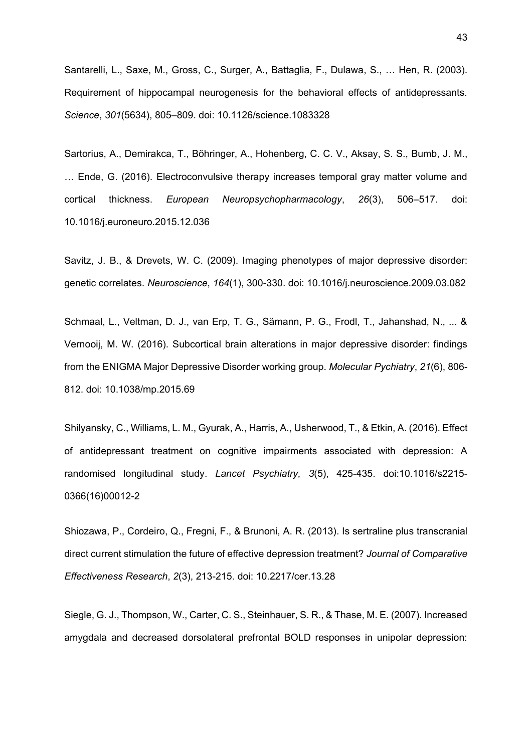Santarelli, L., Saxe, M., Gross, C., Surger, A., Battaglia, F., Dulawa, S., … Hen, R. (2003). Requirement of hippocampal neurogenesis for the behavioral effects of antidepressants. *Science*, *301*(5634), 805–809. doi: 10.1126/science.1083328

Sartorius, A., Demirakca, T., Böhringer, A., Hohenberg, C. C. V., Aksay, S. S., Bumb, J. M., … Ende, G. (2016). Electroconvulsive therapy increases temporal gray matter volume and cortical thickness. *European Neuropsychopharmacology*, *26*(3), 506–517. doi: 10.1016/j.euroneuro.2015.12.036

Savitz, J. B., & Drevets, W. C. (2009). Imaging phenotypes of major depressive disorder: genetic correlates. *Neuroscience*, *164*(1), 300-330. doi: 10.1016/j.neuroscience.2009.03.082

Schmaal, L., Veltman, D. J., van Erp, T. G., Sämann, P. G., Frodl, T., Jahanshad, N., ... & Vernooij, M. W. (2016). Subcortical brain alterations in major depressive disorder: findings from the ENIGMA Major Depressive Disorder working group. *Molecular Pychiatry*, *21*(6), 806- 812. doi: 10.1038/mp.2015.69

Shilyansky, C., Williams, L. M., Gyurak, A., Harris, A., Usherwood, T., & Etkin, A. (2016). Effect of antidepressant treatment on cognitive impairments associated with depression: A randomised longitudinal study. *Lancet Psychiatry, 3*(5), 425-435. doi:10.1016/s2215- 0366(16)00012-2

Shiozawa, P., Cordeiro, Q., Fregni, F., & Brunoni, A. R. (2013). Is sertraline plus transcranial direct current stimulation the future of effective depression treatment? *Journal of Comparative Effectiveness Research*, *2*(3), 213-215. doi: 10.2217/cer.13.28

Siegle, G. J., Thompson, W., Carter, C. S., Steinhauer, S. R., & Thase, M. E. (2007). Increased amygdala and decreased dorsolateral prefrontal BOLD responses in unipolar depression: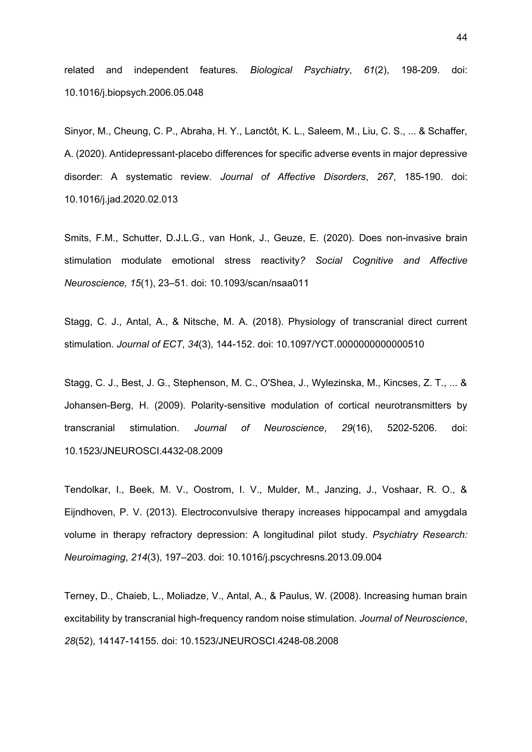related and independent features. *Biological Psychiatry*, *61*(2), 198-209. doi: 10.1016/j.biopsych.2006.05.048

Sinyor, M., Cheung, C. P., Abraha, H. Y., Lanctôt, K. L., Saleem, M., Liu, C. S., ... & Schaffer, A. (2020). Antidepressant-placebo differences for specific adverse events in major depressive disorder: A systematic review. *Journal of Affective Disorders*, *267*, 185-190. doi: 10.1016/j.jad.2020.02.013

Smits, F.M., Schutter, D.J.L.G., van Honk, J., Geuze, E. (2020). Does non-invasive brain stimulation modulate emotional stress reactivity*? Social Cognitive and Affective Neuroscience, 15*(1), 23–51. doi: 10.1093/scan/nsaa011

Stagg, C. J., Antal, A., & Nitsche, M. A. (2018). Physiology of transcranial direct current stimulation. *Journal of ECT*, *34*(3), 144-152. doi: 10.1097/YCT.0000000000000510

Stagg, C. J., Best, J. G., Stephenson, M. C., O'Shea, J., Wylezinska, M., Kincses, Z. T., ... & Johansen-Berg, H. (2009). Polarity-sensitive modulation of cortical neurotransmitters by transcranial stimulation. *Journal of Neuroscience*, *29*(16), 5202-5206. doi: 10.1523/JNEUROSCI.4432-08.2009

Tendolkar, I., Beek, M. V., Oostrom, I. V., Mulder, M., Janzing, J., Voshaar, R. O., & Eijndhoven, P. V. (2013). Electroconvulsive therapy increases hippocampal and amygdala volume in therapy refractory depression: A longitudinal pilot study. *Psychiatry Research: Neuroimaging*, *214*(3), 197–203. doi: 10.1016/j.pscychresns.2013.09.004

Terney, D., Chaieb, L., Moliadze, V., Antal, A., & Paulus, W. (2008). Increasing human brain excitability by transcranial high-frequency random noise stimulation. *Journal of Neuroscience*, *28*(52), 14147-14155. doi: 10.1523/JNEUROSCI.4248-08.2008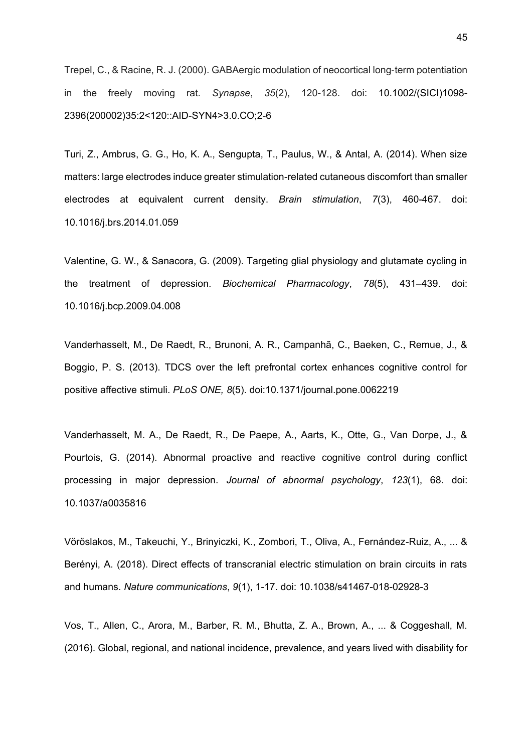Trepel, C., & Racine, R. J. (2000). GABAergic modulation of neocortical long‐term potentiation in the freely moving rat. *Synapse*, *35*(2), 120-128. doi: 10.1002/(SICI)1098- 2396(200002)35:2<120::AID-SYN4>3.0.CO;2-6

Turi, Z., Ambrus, G. G., Ho, K. A., Sengupta, T., Paulus, W., & Antal, A. (2014). When size matters: large electrodes induce greater stimulation-related cutaneous discomfort than smaller electrodes at equivalent current density. *Brain stimulation*, *7*(3), 460-467. doi: 10.1016/j.brs.2014.01.059

Valentine, G. W., & Sanacora, G. (2009). Targeting glial physiology and glutamate cycling in the treatment of depression. *Biochemical Pharmacology*, *78*(5), 431–439. doi: 10.1016/j.bcp.2009.04.008

Vanderhasselt, M., De Raedt, R., Brunoni, A. R., Campanhã, C., Baeken, C., Remue, J., & Boggio, P. S. (2013). TDCS over the left prefrontal cortex enhances cognitive control for positive affective stimuli. *PLoS ONE, 8*(5). doi:10.1371/journal.pone.0062219

Vanderhasselt, M. A., De Raedt, R., De Paepe, A., Aarts, K., Otte, G., Van Dorpe, J., & Pourtois, G. (2014). Abnormal proactive and reactive cognitive control during conflict processing in major depression. *Journal of abnormal psychology*, *123*(1), 68. doi: 10.1037/a0035816

Vöröslakos, M., Takeuchi, Y., Brinyiczki, K., Zombori, T., Oliva, A., Fernández-Ruiz, A., ... & Berényi, A. (2018). Direct effects of transcranial electric stimulation on brain circuits in rats and humans. *Nature communications*, *9*(1), 1-17. doi: 10.1038/s41467-018-02928-3

Vos, T., Allen, C., Arora, M., Barber, R. M., Bhutta, Z. A., Brown, A., ... & Coggeshall, M. (2016). Global, regional, and national incidence, prevalence, and years lived with disability for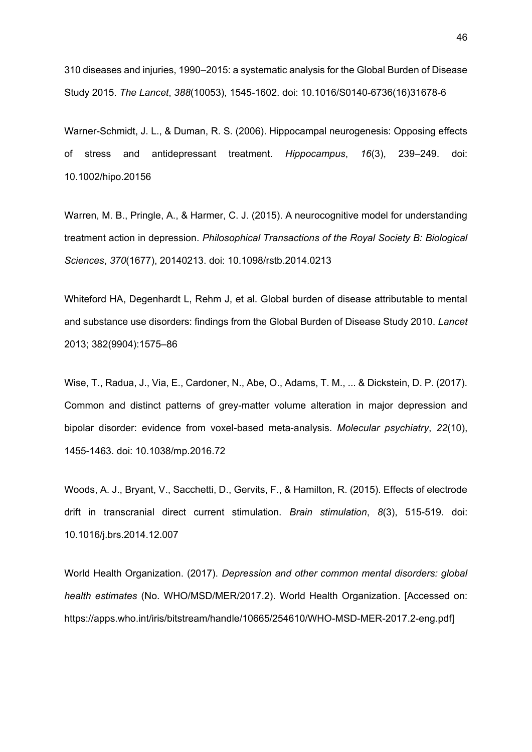310 diseases and injuries, 1990–2015: a systematic analysis for the Global Burden of Disease Study 2015. *The Lancet*, *388*(10053), 1545-1602. doi: 10.1016/S0140-6736(16)31678-6

Warner-Schmidt, J. L., & Duman, R. S. (2006). Hippocampal neurogenesis: Opposing effects of stress and antidepressant treatment. *Hippocampus*, *16*(3), 239–249. doi: 10.1002/hipo.20156

Warren, M. B., Pringle, A., & Harmer, C. J. (2015). A neurocognitive model for understanding treatment action in depression. *Philosophical Transactions of the Royal Society B: Biological Sciences*, *370*(1677), 20140213. doi: 10.1098/rstb.2014.0213

Whiteford HA, Degenhardt L, Rehm J, et al. Global burden of disease attributable to mental and substance use disorders: findings from the Global Burden of Disease Study 2010. *Lancet* 2013; 382(9904):1575–86

Wise, T., Radua, J., Via, E., Cardoner, N., Abe, O., Adams, T. M., ... & Dickstein, D. P. (2017). Common and distinct patterns of grey-matter volume alteration in major depression and bipolar disorder: evidence from voxel-based meta-analysis. *Molecular psychiatry*, *22*(10), 1455-1463. doi: 10.1038/mp.2016.72

Woods, A. J., Bryant, V., Sacchetti, D., Gervits, F., & Hamilton, R. (2015). Effects of electrode drift in transcranial direct current stimulation. *Brain stimulation*, *8*(3), 515-519. doi: 10.1016/j.brs.2014.12.007

World Health Organization. (2017). *Depression and other common mental disorders: global health estimates* (No. WHO/MSD/MER/2017.2). World Health Organization. [Accessed on: https://apps.who.int/iris/bitstream/handle/10665/254610/WHO-MSD-MER-2017.2-eng.pdf]